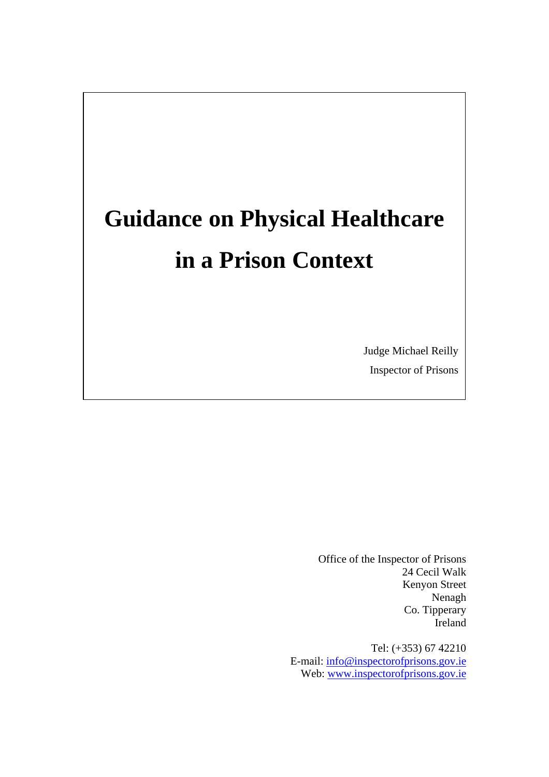# **Guidance on Physical Healthcare in a Prison Context**

Judge Michael Reilly Inspector of Prisons

Office of the Inspector of Prisons 24 Cecil Walk Kenyon Street Nenagh Co. Tipperary Ireland

Tel: (+353) 67 42210 E-mail: [info@inspectorofprisons.gov.ie](mailto:info@inspectorofprisons.gov.ie) Web: [www.inspectorofprisons.gov.ie](http://www.inspectorofprisons.gov.ie/)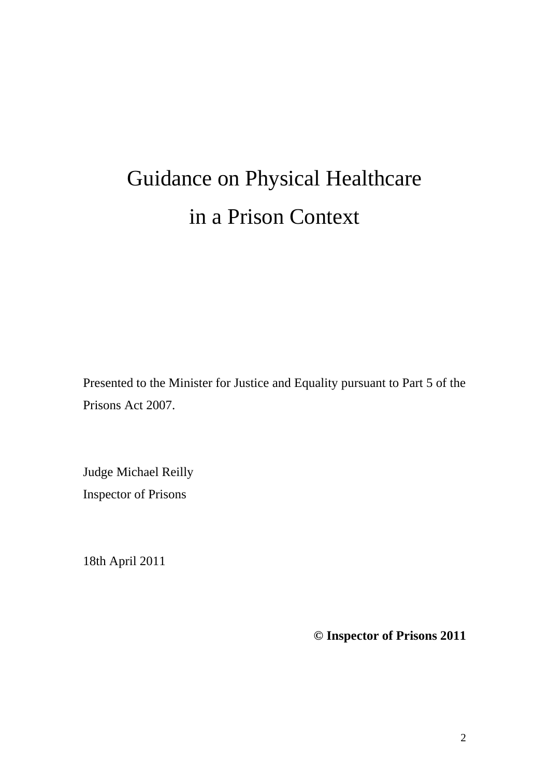# Guidance on Physical Healthcare in a Prison Context

Presented to the Minister for Justice and Equality pursuant to Part 5 of the Prisons Act 2007.

Judge Michael Reilly Inspector of Prisons

18th April 2011

**© Inspector of Prisons 2011**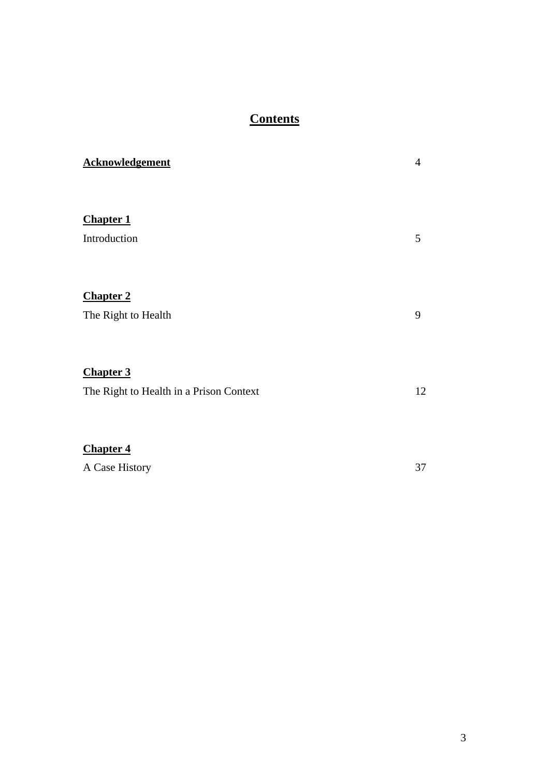# **Contents**

| <b>Acknowledgement</b>                  | 4  |
|-----------------------------------------|----|
|                                         |    |
| <b>Chapter 1</b>                        |    |
| Introduction                            | 5  |
|                                         |    |
| <b>Chapter 2</b>                        |    |
| The Right to Health                     | 9  |
|                                         |    |
| <b>Chapter 3</b>                        |    |
| The Right to Health in a Prison Context | 12 |
|                                         |    |
| <b>Chapter 4</b>                        |    |
| A Case History                          | 37 |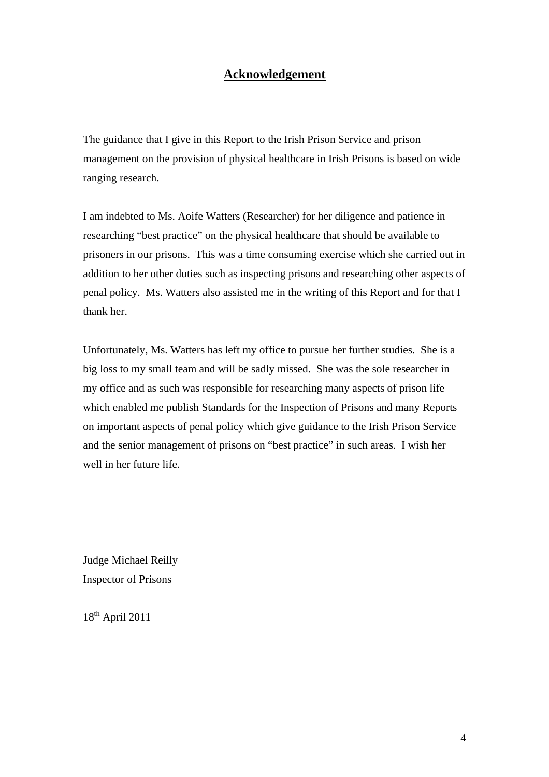## **Acknowledgement**

The guidance that I give in this Report to the Irish Prison Service and prison management on the provision of physical healthcare in Irish Prisons is based on wide ranging research.

I am indebted to Ms. Aoife Watters (Researcher) for her diligence and patience in researching "best practice" on the physical healthcare that should be available to prisoners in our prisons. This was a time consuming exercise which she carried out in addition to her other duties such as inspecting prisons and researching other aspects of penal policy. Ms. Watters also assisted me in the writing of this Report and for that I thank her.

Unfortunately, Ms. Watters has left my office to pursue her further studies. She is a big loss to my small team and will be sadly missed. She was the sole researcher in my office and as such was responsible for researching many aspects of prison life which enabled me publish Standards for the Inspection of Prisons and many Reports on important aspects of penal policy which give guidance to the Irish Prison Service and the senior management of prisons on "best practice" in such areas. I wish her well in her future life.

Judge Michael Reilly Inspector of Prisons

18th April 2011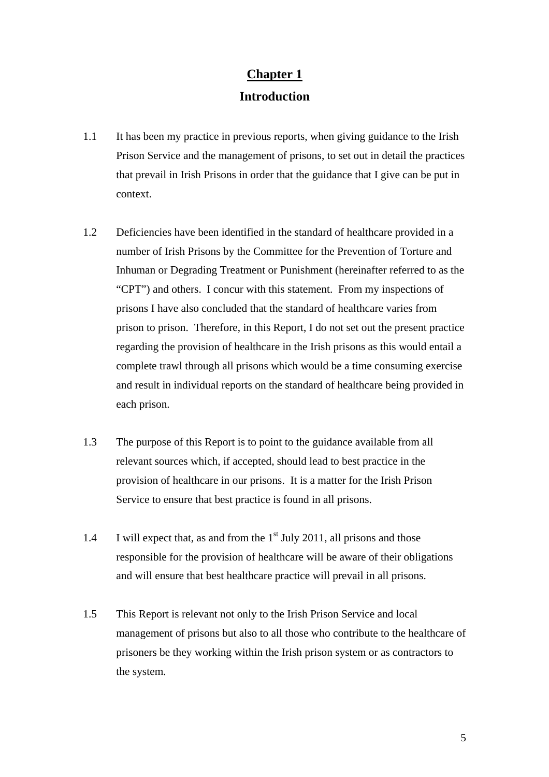## **Chapter 1**

## **Introduction**

- 1.1 It has been my practice in previous reports, when giving guidance to the Irish Prison Service and the management of prisons, to set out in detail the practices that prevail in Irish Prisons in order that the guidance that I give can be put in context.
- 1.2 Deficiencies have been identified in the standard of healthcare provided in a number of Irish Prisons by the Committee for the Prevention of Torture and Inhuman or Degrading Treatment or Punishment (hereinafter referred to as the "CPT") and others. I concur with this statement. From my inspections of prisons I have also concluded that the standard of healthcare varies from prison to prison. Therefore, in this Report, I do not set out the present practice regarding the provision of healthcare in the Irish prisons as this would entail a complete trawl through all prisons which would be a time consuming exercise and result in individual reports on the standard of healthcare being provided in each prison.
- 1.3 The purpose of this Report is to point to the guidance available from all relevant sources which, if accepted, should lead to best practice in the provision of healthcare in our prisons. It is a matter for the Irish Prison Service to ensure that best practice is found in all prisons.
- 1.4 I will expect that, as and from the  $1<sup>st</sup>$  July 2011, all prisons and those responsible for the provision of healthcare will be aware of their obligations and will ensure that best healthcare practice will prevail in all prisons.
- 1.5 This Report is relevant not only to the Irish Prison Service and local management of prisons but also to all those who contribute to the healthcare of prisoners be they working within the Irish prison system or as contractors to the system.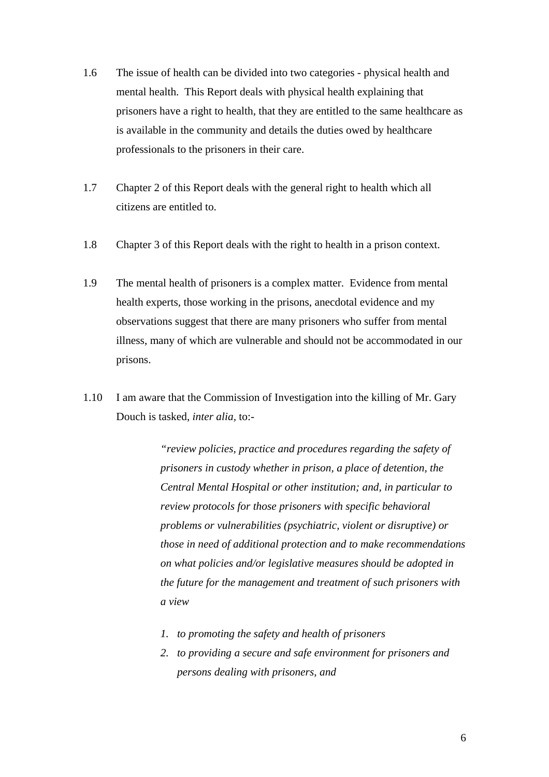- 1.6 The issue of health can be divided into two categories physical health and mental health. This Report deals with physical health explaining that prisoners have a right to health, that they are entitled to the same healthcare as is available in the community and details the duties owed by healthcare professionals to the prisoners in their care.
- 1.7 Chapter 2 of this Report deals with the general right to health which all citizens are entitled to.
- 1.8 Chapter 3 of this Report deals with the right to health in a prison context.
- 1.9 The mental health of prisoners is a complex matter. Evidence from mental health experts, those working in the prisons, anecdotal evidence and my observations suggest that there are many prisoners who suffer from mental illness, many of which are vulnerable and should not be accommodated in our prisons.
- 1.10 I am aware that the Commission of Investigation into the killing of Mr. Gary Douch is tasked, *inter alia,* to:-

*"review policies, practice and procedures regarding the safety of prisoners in custody whether in prison, a place of detention, the Central Mental Hospital or other institution; and, in particular to review protocols for those prisoners with specific behavioral problems or vulnerabilities (psychiatric, violent or disruptive) or those in need of additional protection and to make recommendations on what policies and/or legislative measures should be adopted in the future for the management and treatment of such prisoners with a view* 

- *1. to promoting the safety and health of prisoners*
- *2. to providing a secure and safe environment for prisoners and persons dealing with prisoners, and*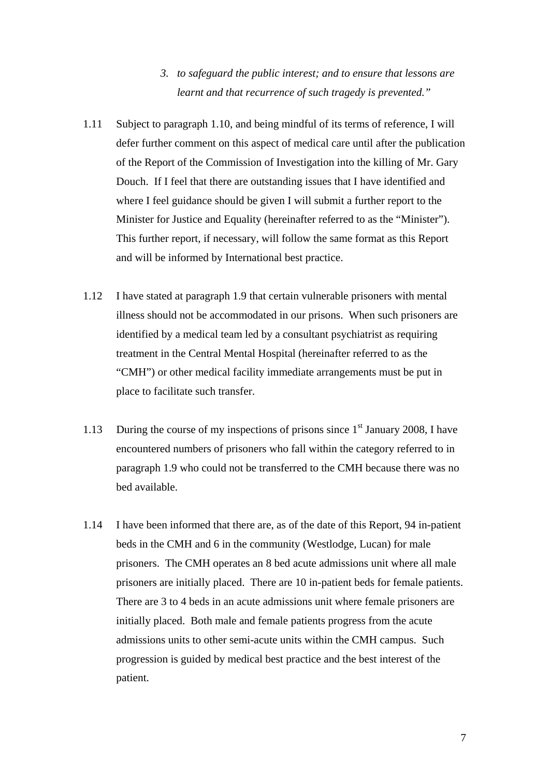## *3. to safeguard the public interest; and to ensure that lessons are learnt and that recurrence of such tragedy is prevented."*

- 1.11 Subject to paragraph 1.10, and being mindful of its terms of reference, I will defer further comment on this aspect of medical care until after the publication of the Report of the Commission of Investigation into the killing of Mr. Gary Douch. If I feel that there are outstanding issues that I have identified and where I feel guidance should be given I will submit a further report to the Minister for Justice and Equality (hereinafter referred to as the "Minister"). This further report, if necessary, will follow the same format as this Report and will be informed by International best practice.
- 1.12 I have stated at paragraph 1.9 that certain vulnerable prisoners with mental illness should not be accommodated in our prisons. When such prisoners are identified by a medical team led by a consultant psychiatrist as requiring treatment in the Central Mental Hospital (hereinafter referred to as the "CMH") or other medical facility immediate arrangements must be put in place to facilitate such transfer.
- 1.13 During the course of my inspections of prisons since  $1<sup>st</sup>$  January 2008, I have encountered numbers of prisoners who fall within the category referred to in paragraph 1.9 who could not be transferred to the CMH because there was no bed available.
- 1.14 I have been informed that there are, as of the date of this Report, 94 in-patient beds in the CMH and 6 in the community (Westlodge, Lucan) for male prisoners. The CMH operates an 8 bed acute admissions unit where all male prisoners are initially placed. There are 10 in-patient beds for female patients. There are 3 to 4 beds in an acute admissions unit where female prisoners are initially placed. Both male and female patients progress from the acute admissions units to other semi-acute units within the CMH campus. Such progression is guided by medical best practice and the best interest of the patient.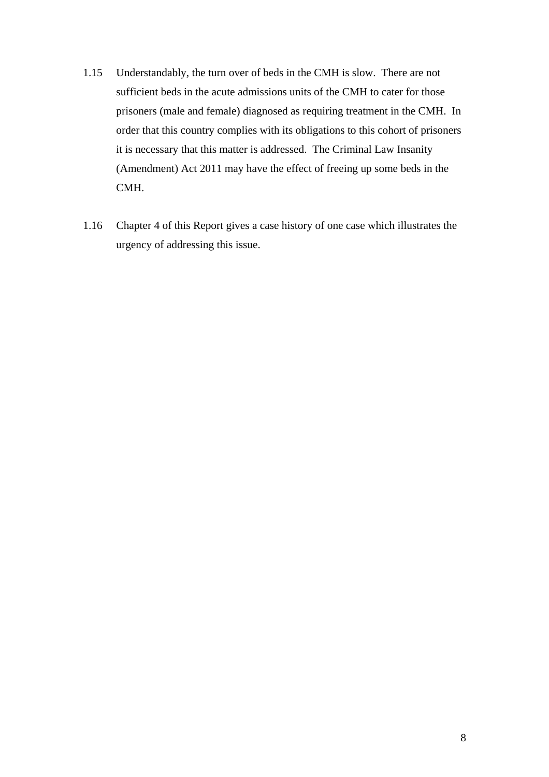- 1.15 Understandably, the turn over of beds in the CMH is slow. There are not sufficient beds in the acute admissions units of the CMH to cater for those prisoners (male and female) diagnosed as requiring treatment in the CMH. In order that this country complies with its obligations to this cohort of prisoners it is necessary that this matter is addressed. The Criminal Law Insanity (Amendment) Act 2011 may have the effect of freeing up some beds in the CMH.
- 1.16 Chapter 4 of this Report gives a case history of one case which illustrates the urgency of addressing this issue.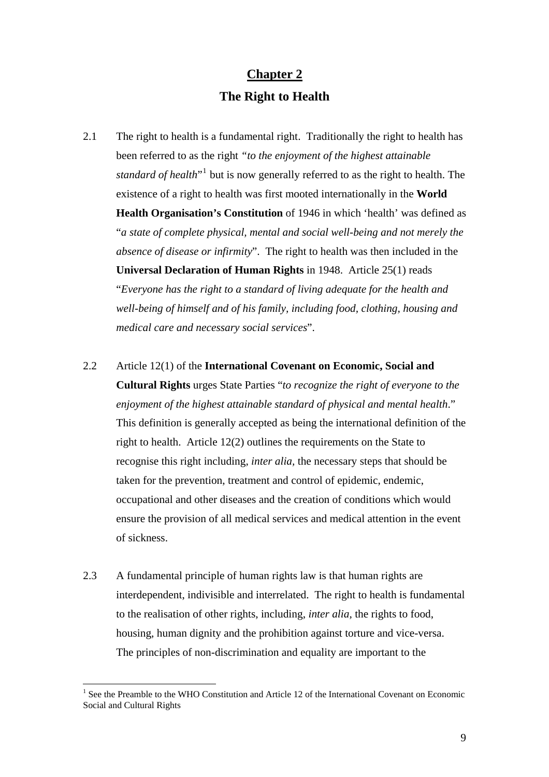# **Chapter 2 The Right to Health**

- 2.1 The right to health is a fundamental right. Traditionally the right to health has been referred to as the right *"to the enjoyment of the highest attainable standard of health*<sup>[1](#page-8-0)</sup> but is now generally referred to as the right to health. The existence of a right to health was first mooted internationally in the **World Health Organisation's Constitution** of 1946 in which 'health' was defined as "*a state of complete physical, mental and social well-being and not merely the absence of disease or infirmity*". The right to health was then included in the **Universal Declaration of Human Rights** in 1948. Article 25(1) reads "*Everyone has the right to a standard of living adequate for the health and well-being of himself and of his family, including food, clothing, housing and medical care and necessary social services*".
- 2.2 Article 12(1) of the **International Covenant on Economic, Social and Cultural Rights** urges State Parties "*to recognize the right of everyone to the enjoyment of the highest attainable standard of physical and mental health*." This definition is generally accepted as being the international definition of the right to health. Article 12(2) outlines the requirements on the State to recognise this right including, *inter alia,* the necessary steps that should be taken for the prevention, treatment and control of epidemic, endemic, occupational and other diseases and the creation of conditions which would ensure the provision of all medical services and medical attention in the event of sickness.
- 2.3 A fundamental principle of human rights law is that human rights are interdependent, indivisible and interrelated. The right to health is fundamental to the realisation of other rights, including, *inter alia,* the rights to food, housing, human dignity and the prohibition against torture and vice-versa. The principles of non-discrimination and equality are important to the

<span id="page-8-0"></span><sup>&</sup>lt;sup>1</sup> See the Preamble to the WHO Constitution and Article 12 of the International Covenant on Economic Social and Cultural Rights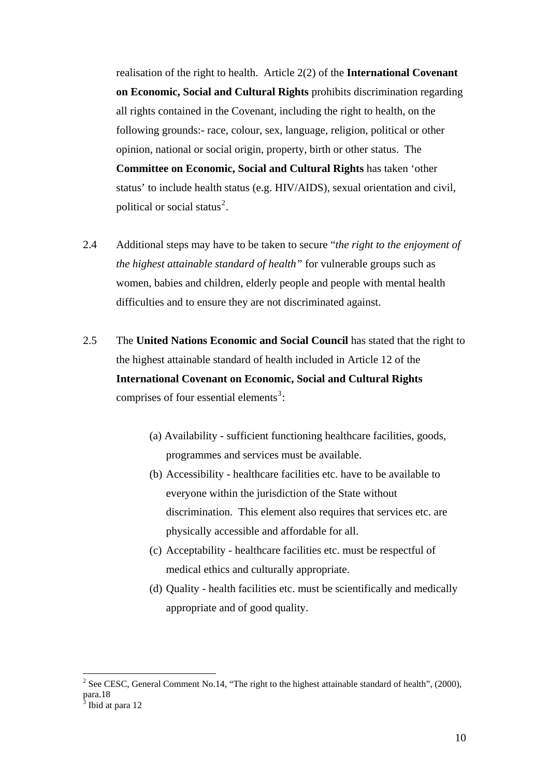realisation of the right to health. Article 2(2) of the **International Covenant on Economic, Social and Cultural Rights** prohibits discrimination regarding all rights contained in the Covenant, including the right to health, on the following grounds:- race, colour, sex, language, religion, political or other opinion, national or social origin, property, birth or other status. The **Committee on Economic, Social and Cultural Rights** has taken 'other status' to include health status (e.g. HIV/AIDS), sexual orientation and civil, political or social status<sup>2</sup>.

- 2.4 Additional steps may have to be taken to secure "*the right to the enjoyment of the highest attainable standard of health"* for vulnerable groups such as women, babies and children, elderly people and people with mental health difficulties and to ensure they are not discriminated against.
- 2.5 The **United Nations Economic and Social Council** has stated that the right to the highest attainable standard of health included in Article 12 of the **International Covenant on Economic, Social and Cultural Rights** comprises of four essential elements<sup>[3](#page-9-0)</sup>:
	- (a) Availability sufficient functioning healthcare facilities, goods, programmes and services must be available.
	- (b) Accessibility healthcare facilities etc. have to be available to everyone within the jurisdiction of the State without discrimination. This element also requires that services etc. are physically accessible and affordable for all.
	- (c) Acceptability healthcare facilities etc. must be respectful of medical ethics and culturally appropriate.
	- (d) Quality health facilities etc. must be scientifically and medically appropriate and of good quality.

<sup>&</sup>lt;sup>2</sup> See CESC, General Comment No.14, "The right to the highest attainable standard of health", (2000), para.18

<span id="page-9-0"></span><sup>3</sup> Ibid at para 12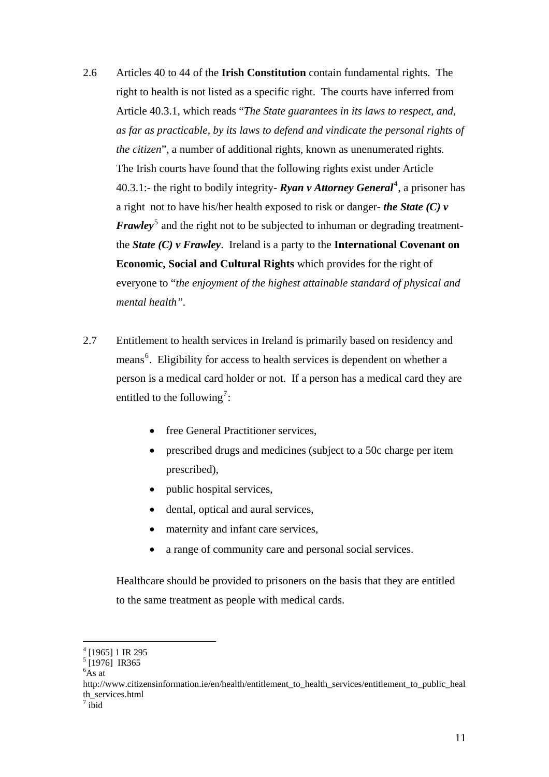- 2.6 Articles 40 to 44 of the **Irish Constitution** contain fundamental rights. The right to health is not listed as a specific right. The courts have inferred from Article 40.3.1, which reads "*The State guarantees in its laws to respect, and, as far as practicable, by its laws to defend and vindicate the personal rights of the citizen*", a number of additional rights, known as unenumerated rights. The Irish courts have found that the following rights exist under Article [4](#page-10-0)0.3.1:- the right to bodily integrity- **Ryan v Attorney General<sup>4</sup>**, a prisoner has a right not to have his/her health exposed to risk or danger- *the State (C) v Frawley*<sup>[5](#page-10-1)</sup> and the right not to be subjected to inhuman or degrading treatmentthe *State (C) v Frawley*. Ireland is a party to the **International Covenant on Economic, Social and Cultural Rights** which provides for the right of everyone to "*the enjoyment of the highest attainable standard of physical and mental health".*
- 2.7 Entitlement to health services in Ireland is primarily based on residency and means<sup>[6](#page-10-2)</sup>. Eligibility for access to health services is dependent on whether a person is a medical card holder or not. If a person has a medical card they are entitled to the following<sup>[7](#page-10-3)</sup>:
	- free [General Practitioner services](http://www.citizensinformation.ie/en/health/gp_services/gp_services_to_medical_card_holders.html).
	- [prescribed drugs and medicines](http://www.citizensinformation.ie/en/health/entitlement_to_health_services/prescribed_drugs_and_medicines.html) (subject to a 50c charge per item prescribed),
	- [public hospital services,](http://www.citizensinformation.ie/en/health/hospital_services/hospital_services_introduction.html)
	- [dental](http://www.citizensinformation.ie/en/health/dental_aural_and_optical_services/dental_services.html), [optical](http://www.citizensinformation.ie/en/health/dental_aural_and_optical_services/optometric_and_ophthalmic_services.html) and [aural](http://www.citizensinformation.ie/en/health/dental_aural_and_optical_services/aural_services.html) services,
	- [maternity and infant care services,](http://www.citizensinformation.ie/en/health/women_s_health/maternity_and_infant_welfare_services.html)
	- a range of [community care and personal social services](http://www.citizensinformation.ie/en/health/care_in_your_community/community_care_services.html).

Healthcare should be provided to prisoners on the basis that they are entitled to the same treatment as people with medical cards.

<span id="page-10-0"></span><sup>&</sup>lt;sup>4</sup> [1965] 1 IR 295<sup>5</sup><br><sup>5</sup> [1976] IR365

<span id="page-10-2"></span><span id="page-10-1"></span> ${}^{6}$ As at

http://www.citizensinformation.ie/en/health/entitlement\_to\_health\_services/entitlement\_to\_public\_heal th\_services.html

<span id="page-10-3"></span> $7$  ibid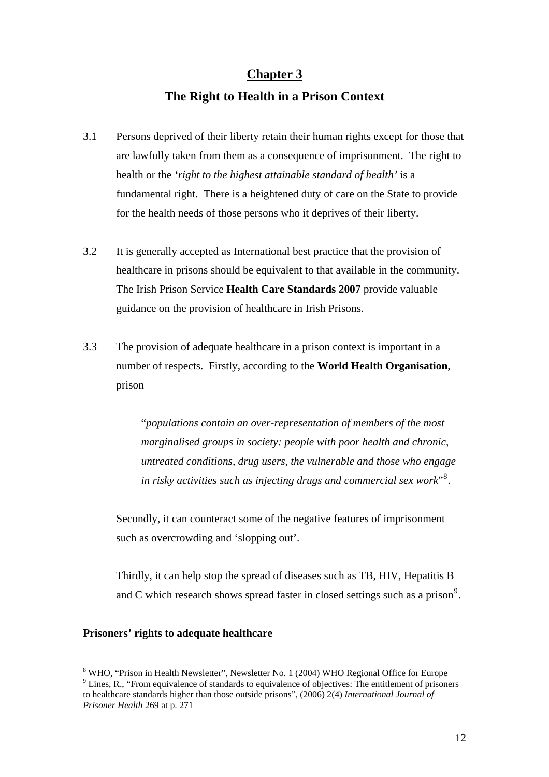#### **Chapter 3**

## **The Right to Health in a Prison Context**

- 3.1 Persons deprived of their liberty retain their human rights except for those that are lawfully taken from them as a consequence of imprisonment. The right to health or the *'right to the highest attainable standard of health'* is a fundamental right. There is a heightened duty of care on the State to provide for the health needs of those persons who it deprives of their liberty.
- 3.2 It is generally accepted as International best practice that the provision of healthcare in prisons should be equivalent to that available in the community. The Irish Prison Service **Health Care Standards 2007** provide valuable guidance on the provision of healthcare in Irish Prisons.
- 3.3 The provision of adequate healthcare in a prison context is important in a number of respects. Firstly, according to the **World Health Organisation**, prison

"*populations contain an over-representation of members of the most marginalised groups in society: people with poor health and chronic, untreated conditions, drug users, the vulnerable and those who engage in risky activities such as injecting drugs and commercial sex work*"[8](#page-11-0) .

Secondly, it can counteract some of the negative features of imprisonment such as overcrowding and 'slopping out'.

Thirdly, it can help stop the spread of diseases such as TB, HIV, Hepatitis B and C which research shows spread faster in closed settings such as a prison<sup>[9](#page-11-1)</sup>.

#### **Prisoners' rights to adequate healthcare**

<span id="page-11-1"></span><span id="page-11-0"></span><sup>&</sup>lt;sup>8</sup> WHO, "Prison in Health Newsletter", Newsletter No. 1 (2004) WHO Regional Office for Europe  $9^9$  Lines, R., "From equivalence of standards to equivalence of objectives: The entitlement of prisoners to healthcare standards higher than those outside prisons", (2006) 2(4) *International Journal of Prisoner Health* 269 at p. 271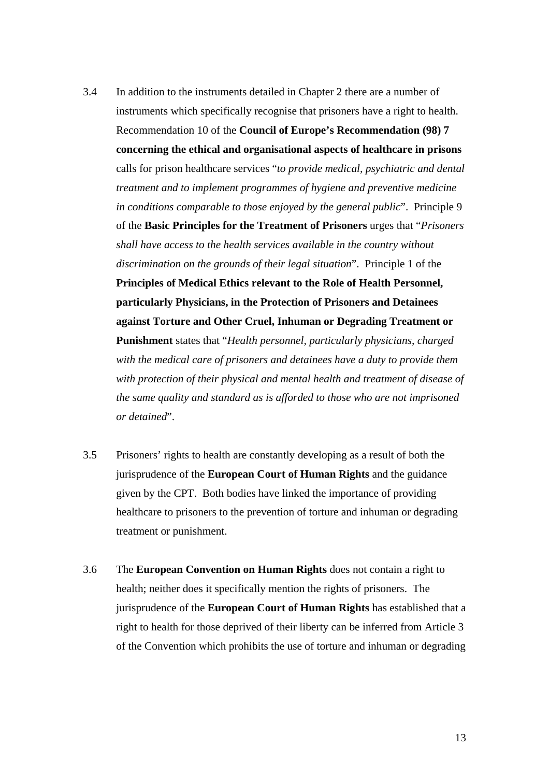- 3.4 In addition to the instruments detailed in Chapter 2 there are a number of instruments which specifically recognise that prisoners have a right to health. Recommendation 10 of the **Council of Europe's Recommendation (98) 7 concerning the ethical and organisational aspects of healthcare in prisons** calls for prison healthcare services "*to provide medical, psychiatric and dental treatment and to implement programmes of hygiene and preventive medicine in conditions comparable to those enjoyed by the general public*". Principle 9 of the **Basic Principles for the Treatment of Prisoners** urges that "*Prisoners shall have access to the health services available in the country without discrimination on the grounds of their legal situation*". Principle 1 of the **Principles of Medical Ethics relevant to the Role of Health Personnel, particularly Physicians, in the Protection of Prisoners and Detainees against Torture and Other Cruel, Inhuman or Degrading Treatment or Punishment** states that "*Health personnel, particularly physicians, charged with the medical care of prisoners and detainees have a duty to provide them with protection of their physical and mental health and treatment of disease of the same quality and standard as is afforded to those who are not imprisoned or detained*".
- 3.5 Prisoners' rights to health are constantly developing as a result of both the jurisprudence of the **European Court of Human Rights** and the guidance given by the CPT. Both bodies have linked the importance of providing healthcare to prisoners to the prevention of torture and inhuman or degrading treatment or punishment.
- 3.6 The **European Convention on Human Rights** does not contain a right to health; neither does it specifically mention the rights of prisoners. The jurisprudence of the **European Court of Human Rights** has established that a right to health for those deprived of their liberty can be inferred from Article 3 of the Convention which prohibits the use of torture and inhuman or degrading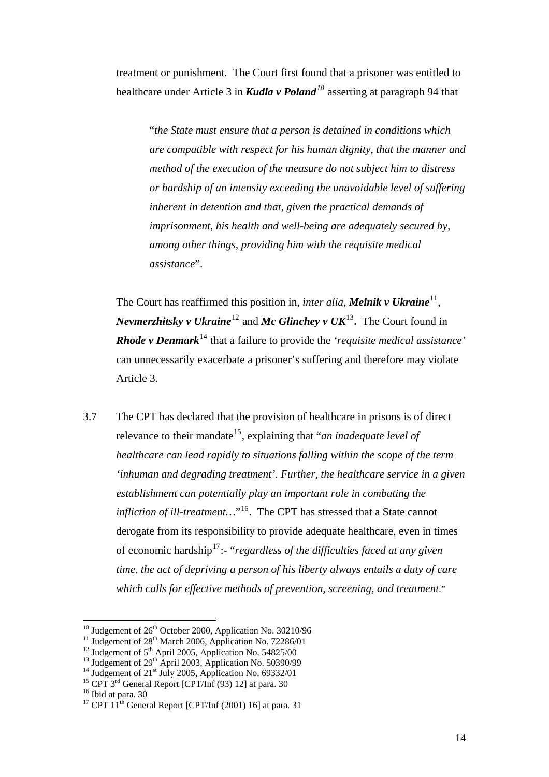treatment or punishment. The Court first found that a prisoner was entitled to healthcare under Article 3 in *Kudla v Poland[10](#page-13-0)* asserting at paragraph 94 that

"*the State must ensure that a person is detained in conditions which are compatible with respect for his human dignity, that the manner and method of the execution of the measure do not subject him to distress or hardship of an intensity exceeding the unavoidable level of suffering inherent in detention and that, given the practical demands of imprisonment, his health and well-being are adequately secured by, among other things, providing him with the requisite medical assistance*".

The Court has reaffirmed this position in, *inter alia*, *Melnik v Ukraine*<sup>[11](#page-13-1)</sup>, *Nevmerzhitsky v Ukraine*[12](#page-13-2) and *Mc Glinchey v UK*[13](#page-13-3)**.** The Court found in *Rhode v Denmark*<sup>[14](#page-13-4)</sup> that a failure to provide the *'requisite medical assistance'* can unnecessarily exacerbate a prisoner's suffering and therefore may violate Article 3.

3.7 The CPT has declared that the provision of healthcare in prisons is of direct relevance to their mandate<sup>[15](#page-13-5)</sup>, explaining that "*an inadequate level of healthcare can lead rapidly to situations falling within the scope of the term 'inhuman and degrading treatment'. Further, the healthcare service in a given establishment can potentially play an important role in combating the infliction of ill-treatment...*"<sup>[16](#page-13-6)</sup>. The CPT has stressed that a State cannot derogate from its responsibility to provide adequate healthcare, even in times of economic hardship[17](#page-13-7):- "*regardless of the difficulties faced at any given time, the act of depriving a person of his liberty always entails a duty of care which calls for effective methods of prevention, screening, and treatment*."

- 
- <span id="page-13-4"></span><span id="page-13-3"></span>

<span id="page-13-1"></span><span id="page-13-0"></span><sup>&</sup>lt;sup>10</sup> Judgement of 26<sup>th</sup> October 2000, Application No. 30210/96<sup>11</sup> Judgement of 28<sup>th</sup> March 2006, Application No. 72286/01<sup>12</sup> Judgement of 5<sup>th</sup> April 2005, Application No. 54825/00<sup>13</sup> Judgement of 29<sup>th</sup> April 2003,

<span id="page-13-2"></span>

<span id="page-13-5"></span>

<span id="page-13-7"></span><span id="page-13-6"></span><sup>&</sup>lt;sup>17</sup> CPT  $11^{th}$  General Report [CPT/Inf (2001) 16] at para. 31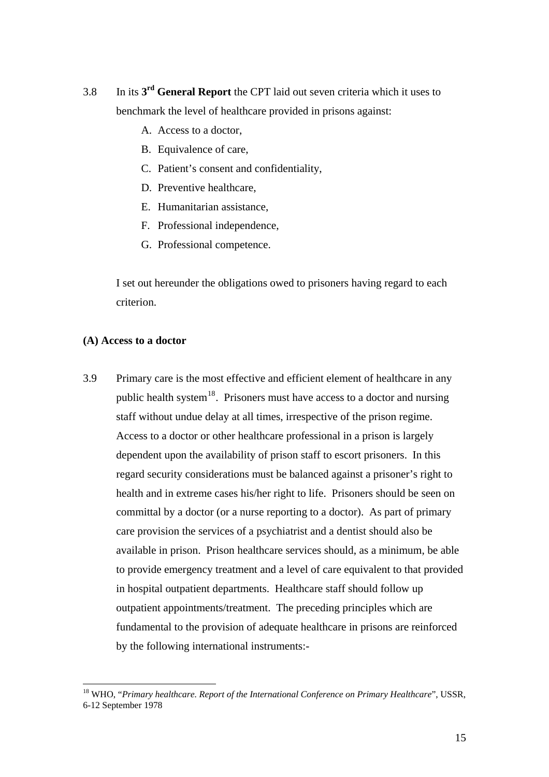- 3.8 In its **3rd General Report** the CPT laid out seven criteria which it uses to benchmark the level of healthcare provided in prisons against:
	- A. Access to a doctor,
	- B. Equivalence of care,
	- C. Patient's consent and confidentiality,
	- D. Preventive healthcare,
	- E. Humanitarian assistance,
	- F. Professional independence,
	- G. Professional competence.

I set out hereunder the obligations owed to prisoners having regard to each criterion.

#### **(A) Access to a doctor**

 $\overline{a}$ 

3.9 Primary care is the most effective and efficient element of healthcare in any public health system<sup>[18](#page-14-0)</sup>. Prisoners must have access to a doctor and nursing staff without undue delay at all times, irrespective of the prison regime. Access to a doctor or other healthcare professional in a prison is largely dependent upon the availability of prison staff to escort prisoners. In this regard security considerations must be balanced against a prisoner's right to health and in extreme cases his/her right to life. Prisoners should be seen on committal by a doctor (or a nurse reporting to a doctor). As part of primary care provision the services of a psychiatrist and a dentist should also be available in prison. Prison healthcare services should, as a minimum, be able to provide emergency treatment and a level of care equivalent to that provided in hospital outpatient departments. Healthcare staff should follow up outpatient appointments/treatment. The preceding principles which are fundamental to the provision of adequate healthcare in prisons are reinforced by the following international instruments:-

<span id="page-14-0"></span><sup>18</sup> WHO, "*Primary healthcare. Report of the International Conference on Primary Healthcare*", USSR, 6-12 September 1978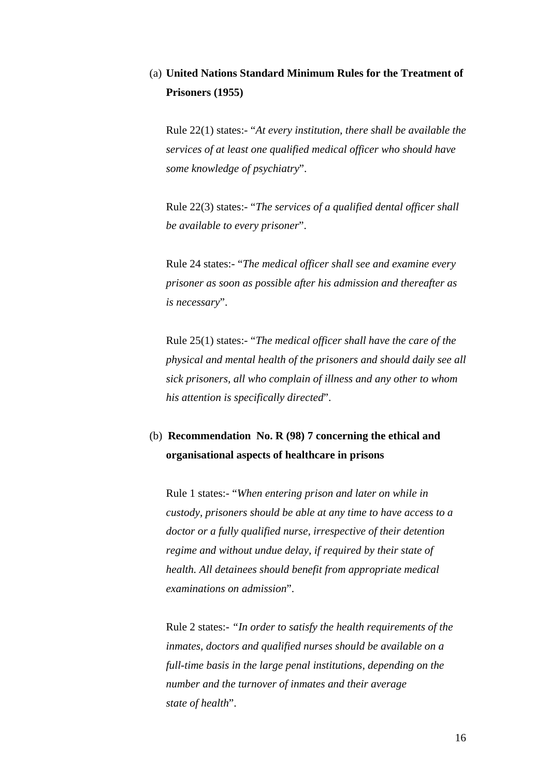## (a) **United Nations Standard Minimum Rules for the Treatment of Prisoners (1955)**

Rule 22(1) states:- "*At every institution, there shall be available the services of at least one qualified medical officer who should have some knowledge of psychiatry*".

Rule 22(3) states:- "*The services of a qualified dental officer shall be available to every prisoner*".

Rule 24 states:- "*The medical officer shall see and examine every prisoner as soon as possible after his admission and thereafter as is necessary*".

Rule 25(1) states:- "*The medical officer shall have the care of the physical and mental health of the prisoners and should daily see all sick prisoners, all who complain of illness and any other to whom his attention is specifically directed*".

## (b) **Recommendation No. R (98) 7 concerning the ethical and organisational aspects of healthcare in prisons**

Rule 1 states:- "*When entering prison and later on while in custody, prisoners should be able at any time to have access to a doctor or a fully qualified nurse, irrespective of their detention regime and without undue delay, if required by their state of health. All detainees should benefit from appropriate medical examinations on admission*".

Rule 2 states:- *"In order to satisfy the health requirements of the inmates, doctors and qualified nurses should be available on a full-time basis in the large penal institutions, depending on the number and the turnover of inmates and their average state of health*".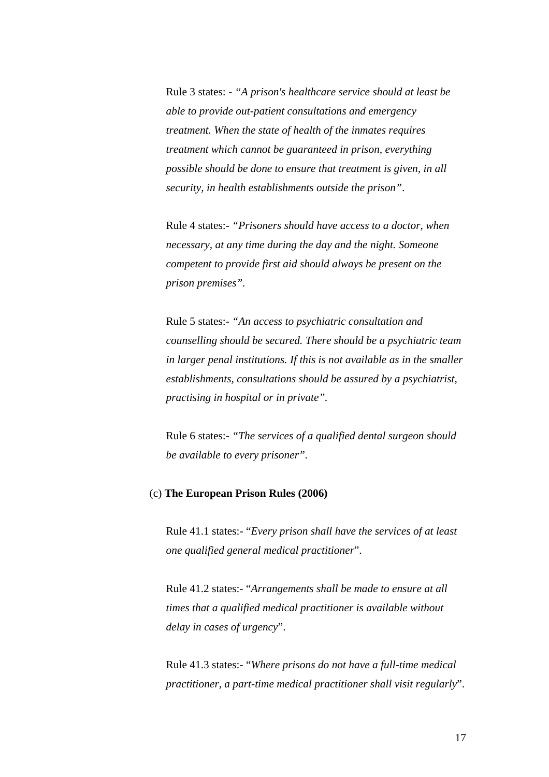Rule 3 states: - *"A prison's healthcare service should at least be able to provide out-patient consultations and emergency treatment. When the state of health of the inmates requires treatment which cannot be guaranteed in prison, everything possible should be done to ensure that treatment is given, in all security, in health establishments outside the prison"*.

Rule 4 states:- *"Prisoners should have access to a doctor, when necessary, at any time during the day and the night. Someone competent to provide first aid should always be present on the prison premises".* 

Rule 5 states:- *"An access to psychiatric consultation and counselling should be secured. There should be a psychiatric team in larger penal institutions. If this is not available as in the smaller establishments, consultations should be assured by a psychiatrist, practising in hospital or in private".* 

Rule 6 states:- *"The services of a qualified dental surgeon should be available to every prisoner".* 

#### (c) **The European Prison Rules (2006)**

Rule 41.1 states:- "*Every prison shall have the services of at least one qualified general medical practitioner*".

Rule 41.2 states:- "*Arrangements shall be made to ensure at all times that a qualified medical practitioner is available without delay in cases of urgency*".

Rule 41.3 states:- "*Where prisons do not have a full-time medical practitioner, a part-time medical practitioner shall visit regularly*".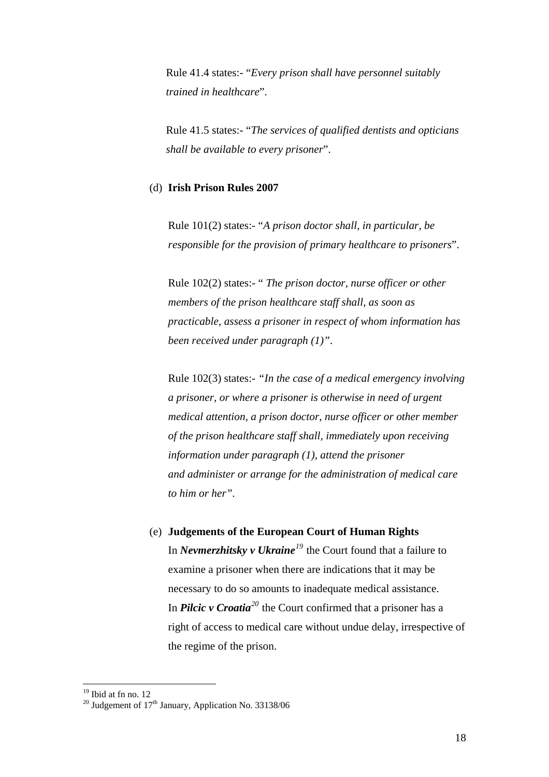Rule 41.4 states:- "*Every prison shall have personnel suitably trained in healthcare*".

Rule 41.5 states:- "*The services of qualified dentists and opticians shall be available to every prisoner*".

#### (d) **Irish Prison Rules 2007**

Rule 101(2) states:- "*A prison doctor shall, in particular, be responsible for the provision of primary healthcare to prisoners*".

Rule 102(2) states:- " *The prison doctor, nurse officer or other members of the prison healthcare staff shall, as soon as practicable, assess a prisoner in respect of whom information has been received under paragraph (1)"*.

Rule 102(3) states:- *"In the case of a medical emergency involving a prisoner, or where a prisoner is otherwise in need of urgent medical attention, a prison doctor, nurse officer or other member of the prison healthcare staff shall, immediately upon receiving information under paragraph (1), attend the prisoner and administer or arrange for the administration of medical care to him or her".* 

(e) **Judgements of the European Court of Human Rights**  In *Nevmerzhitsky v Ukraine[19](#page-17-0)* the Court found that a failure to examine a prisoner when there are indications that it may be necessary to do so amounts to inadequate medical assistance. In *Pilcic v Croatia[20](#page-17-1)* the Court confirmed that a prisoner has a right of access to medical care without undue delay, irrespective of the regime of the prison.

<sup>&</sup>lt;sup>19</sup> Ibid at fn no. 12

<span id="page-17-1"></span><span id="page-17-0"></span><sup>&</sup>lt;sup>20</sup> Judgement of  $17<sup>th</sup>$  January, Application No. 33138/06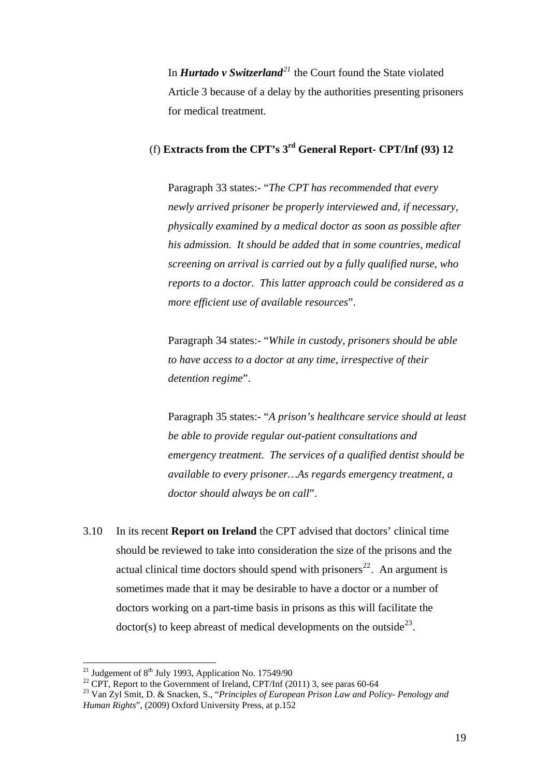In *Hurtado v Switzerland[21](#page-18-0)* the Court found the State violated Article 3 because of a delay by the authorities presenting prisoners for medical treatment.

## (f) **Extracts from the CPT's 3rd General Report- CPT/Inf (93) 12**

Paragraph 33 states:- "*The CPT has recommended that every newly arrived prisoner be properly interviewed and, if necessary, physically examined by a medical doctor as soon as possible after his admission. It should be added that in some countries, medical screening on arrival is carried out by a fully qualified nurse, who reports to a doctor. This latter approach could be considered as a more efficient use of available resources*".

Paragraph 34 states:- "*While in custody, prisoners should be able to have access to a doctor at any time, irrespective of their detention regime*".

Paragraph 35 states:- "*A prison's healthcare service should at least be able to provide regular out-patient consultations and emergency treatment. The services of a qualified dentist should be available to every prisoner…As regards emergency treatment, a doctor should always be on call*".

3.10 In its recent **Report on Ireland** the CPT advised that doctors' clinical time should be reviewed to take into consideration the size of the prisons and the actual clinical time doctors should spend with prisoners<sup>[22](#page-18-1)</sup>. An argument is sometimes made that it may be desirable to have a doctor or a number of doctors working on a part-time basis in prisons as this will facilitate the  $dotor(s)$  to keep abreast of medical developments on the outside<sup>[23](#page-18-2)</sup>.

<span id="page-18-0"></span><sup>&</sup>lt;sup>21</sup> Judgement of  $8<sup>th</sup>$  July 1993, Application No. 17549/90

<span id="page-18-1"></span><sup>&</sup>lt;sup>22</sup> CPT, Report to the Government of Ireland, CPT/Inf (2011) 3, see paras 60-64

<span id="page-18-2"></span><sup>23</sup> Van Zyl Smit, D. & Snacken, S., "*Principles of European Prison Law and Policy- Penology and Human Rights*", (2009) Oxford University Press, at p.152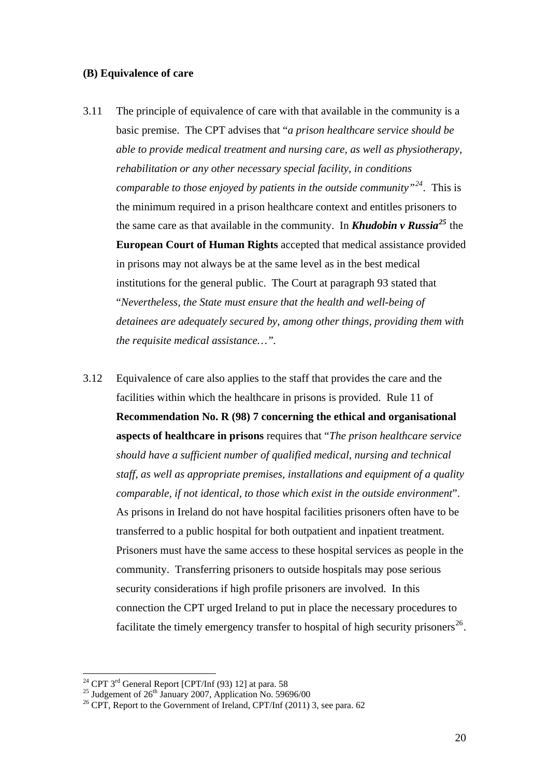#### **(B) Equivalence of care**

- 3.11 The principle of equivalence of care with that available in the community is a basic premise. The CPT advises that "*a prison healthcare service should be able to provide medical treatment and nursing care, as well as physiotherapy, rehabilitation or any other necessary special facility, in conditions comparable to those enjoyed by patients in the outside community"[24](#page-19-0).* This is the minimum required in a prison healthcare context and entitles prisoners to the same care as that available in the community. In *Khudobin v Russia[25](#page-19-1)* the **European Court of Human Rights** accepted that medical assistance provided in prisons may not always be at the same level as in the best medical institutions for the general public. The Court at paragraph 93 stated that "*Nevertheless, the State must ensure that the health and well-being of detainees are adequately secured by, among other things, providing them with the requisite medical assistance…".*
- 3.12 Equivalence of care also applies to the staff that provides the care and the facilities within which the healthcare in prisons is provided. Rule 11 of **Recommendation No. R (98) 7 concerning the ethical and organisational aspects of healthcare in prisons** requires that "*The prison healthcare service should have a sufficient number of qualified medical, nursing and technical staff, as well as appropriate premises, installations and equipment of a quality comparable, if not identical, to those which exist in the outside environment*". As prisons in Ireland do not have hospital facilities prisoners often have to be transferred to a public hospital for both outpatient and inpatient treatment. Prisoners must have the same access to these hospital services as people in the community. Transferring prisoners to outside hospitals may pose serious security considerations if high profile prisoners are involved. In this connection the CPT urged Ireland to put in place the necessary procedures to facilitate the timely emergency transfer to hospital of high security prisoners<sup>[26](#page-19-2)</sup>.

<span id="page-19-2"></span><span id="page-19-1"></span>

<span id="page-19-0"></span><sup>&</sup>lt;sup>24</sup> CPT 3<sup>rd</sup> General Report [CPT/Inf (93) 12] at para. 58<br><sup>25</sup> Judgement of 26<sup>th</sup> January 2007, Application No. 59696/00<br><sup>26</sup> CPT, Report to the Government of Ireland, CPT/Inf (2011) 3, see para. 62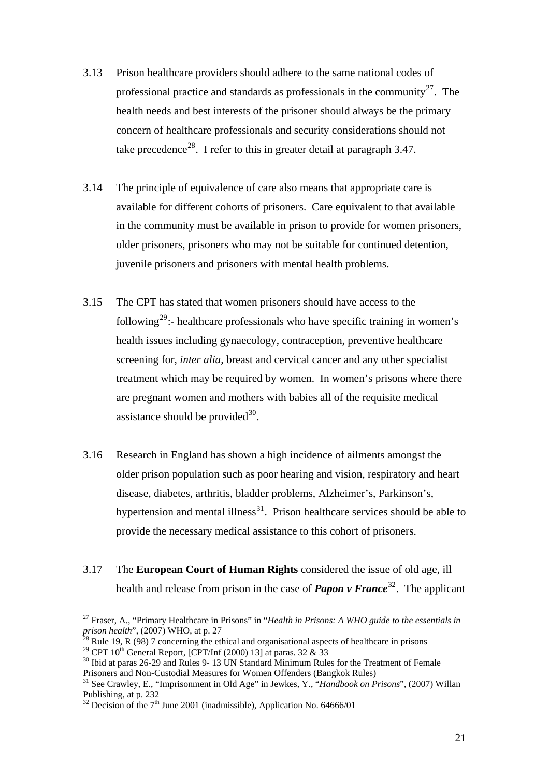- 3.13 Prison healthcare providers should adhere to the same national codes of professional practice and standards as professionals in the community<sup>[27](#page-20-0)</sup>. The health needs and best interests of the prisoner should always be the primary concern of healthcare professionals and security considerations should not take precedence<sup>[28](#page-20-1)</sup>. I refer to this in greater detail at paragraph  $3.47$ .
- 3.14 The principle of equivalence of care also means that appropriate care is available for different cohorts of prisoners. Care equivalent to that available in the community must be available in prison to provide for women prisoners, older prisoners, prisoners who may not be suitable for continued detention, juvenile prisoners and prisoners with mental health problems.
- 3.15 The CPT has stated that women prisoners should have access to the following<sup>[29](#page-20-2)</sup>:- healthcare professionals who have specific training in women's health issues including gynaecology, contraception, preventive healthcare screening for, *inter alia,* breast and cervical cancer and any other specialist treatment which may be required by women. In women's prisons where there are pregnant women and mothers with babies all of the requisite medical assistance should be provided $^{30}$  $^{30}$  $^{30}$ .
- 3.16 Research in England has shown a high incidence of ailments amongst the older prison population such as poor hearing and vision, respiratory and heart disease, diabetes, arthritis, bladder problems, Alzheimer's, Parkinson's, hypertension and mental illness<sup>[31](#page-20-4)</sup>. Prison healthcare services should be able to provide the necessary medical assistance to this cohort of prisoners.
- 3.17 The **European Court of Human Rights** considered the issue of old age, ill health and release from prison in the case of *Papon v France*<sup>[32](#page-20-5)</sup>. The applicant

<span id="page-20-0"></span><sup>&</sup>lt;sup>27</sup> Fraser, A., "Primary Healthcare in Prisons" in "*Health in Prisons: A WHO guide to the essentials in prison health*", (2007) WHO, at p. 27

<span id="page-20-1"></span><sup>&</sup>lt;sup>28</sup> Rule 19, R (98) 7 concerning the ethical and organisational aspects of healthcare in prisons<sup>29</sup> CPT 10<sup>th</sup> General Report, [CPT/Inf (2000) 13] at paras. 32 & 33

<span id="page-20-2"></span>

<span id="page-20-3"></span> $^{30}$  Ibid at paras 26-29 and Rules 9- 13 UN Standard Minimum Rules for the Treatment of Female Prisoners and Non-Custodial Measures for Women Offenders (Bangkok Rules)

<span id="page-20-4"></span><sup>31</sup> See Crawley, E., "Imprisonment in Old Age" in Jewkes, Y., "*Handbook on Prisons*", (2007) Willan Publishing, at p. 232

<span id="page-20-5"></span> $32$  Decision of the  $7<sup>th</sup>$  June 2001 (inadmissible), Application No. 64666/01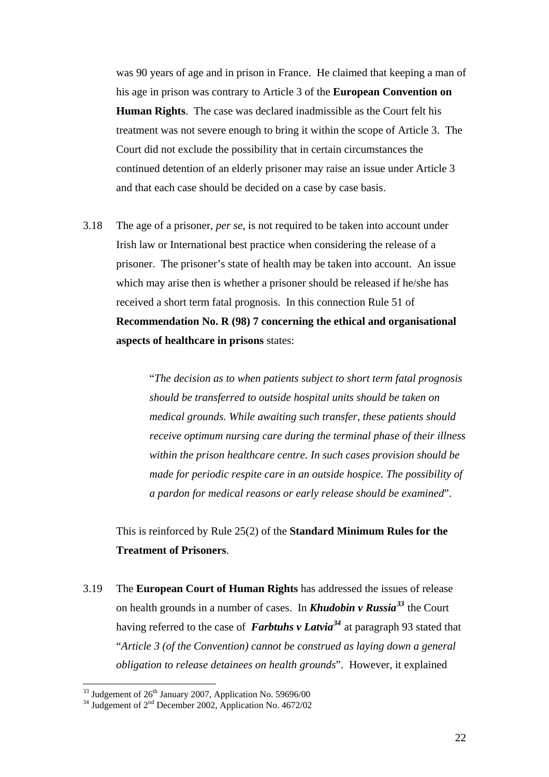was 90 years of age and in prison in France. He claimed that keeping a man of his age in prison was contrary to Article 3 of the **European Convention on Human Rights**. The case was declared inadmissible as the Court felt his treatment was not severe enough to bring it within the scope of Article 3. The Court did not exclude the possibility that in certain circumstances the continued detention of an elderly prisoner may raise an issue under Article 3 and that each case should be decided on a case by case basis.

3.18 The age of a prisoner, *per se,* is not required to be taken into account under Irish law or International best practice when considering the release of a prisoner. The prisoner's state of health may be taken into account. An issue which may arise then is whether a prisoner should be released if he/she has received a short term fatal prognosis. In this connection Rule 51 of **Recommendation No. R (98) 7 concerning the ethical and organisational aspects of healthcare in prisons** states:

> "*The decision as to when patients subject to short term fatal prognosis should be transferred to outside hospital units should be taken on medical grounds. While awaiting such transfer, these patients should receive optimum nursing care during the terminal phase of their illness within the prison healthcare centre. In such cases provision should be made for periodic respite care in an outside hospice. The possibility of a pardon for medical reasons or early release should be examined*".

This is reinforced by Rule 25(2) of the **Standard Minimum Rules for the Treatment of Prisoners**.

3.19 The **European Court of Human Rights** has addressed the issues of release on health grounds in a number of cases. In *Khudobin v Russia[33](#page-21-0)* the Court having referred to the case of *Farbtuhs v Latvia[34](#page-21-1)* at paragraph 93 stated that "*Article 3 (of the Convention) cannot be construed as laying down a general obligation to release detainees on health grounds*". However, it explained

<span id="page-21-1"></span><span id="page-21-0"></span><sup>&</sup>lt;sup>33</sup> Judgement of 2<sup>6th</sup> January 2007, Application No. 59696/00<br><sup>34</sup> Judgement of 2<sup>nd</sup> December 2002, Application No. 4672/02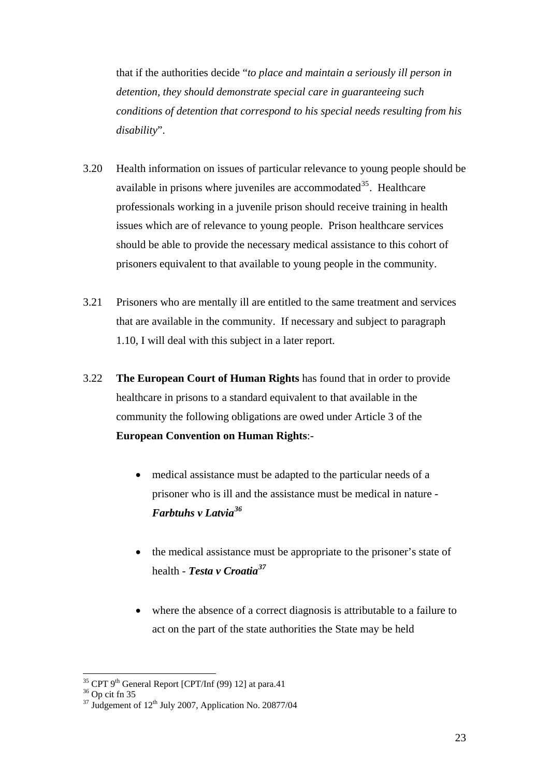that if the authorities decide "*to place and maintain a seriously ill person in detention, they should demonstrate special care in guaranteeing such conditions of detention that correspond to his special needs resulting from his disability*".

- 3.20 Health information on issues of particular relevance to young people should be available in prisons where juveniles are accommodated $35$ . Healthcare professionals working in a juvenile prison should receive training in health issues which are of relevance to young people. Prison healthcare services should be able to provide the necessary medical assistance to this cohort of prisoners equivalent to that available to young people in the community.
- 3.21 Prisoners who are mentally ill are entitled to the same treatment and services that are available in the community. If necessary and subject to paragraph 1.10, I will deal with this subject in a later report.
- 3.22 **The European Court of Human Rights** has found that in order to provide healthcare in prisons to a standard equivalent to that available in the community the following obligations are owed under Article 3 of the **European Convention on Human Rights**:-
	- medical assistance must be adapted to the particular needs of a prisoner who is ill and the assistance must be medical in nature - *Farbtuhs v Latvia[36](#page-22-1)*
	- the medical assistance must be appropriate to the prisoner's state of health - *Testa v Croatia[37](#page-22-2)*
	- where the absence of a correct diagnosis is attributable to a failure to act on the part of the state authorities the State may be held

<span id="page-22-0"></span><sup>&</sup>lt;sup>35</sup> CPT 9<sup>th</sup> General Report [CPT/Inf (99) 12] at para.41 <sup>36</sup> Op cit fn 35

<span id="page-22-2"></span><span id="page-22-1"></span> $37 \text{ Judgement of } 12^{\text{th}}$  July 2007, Application No. 20877/04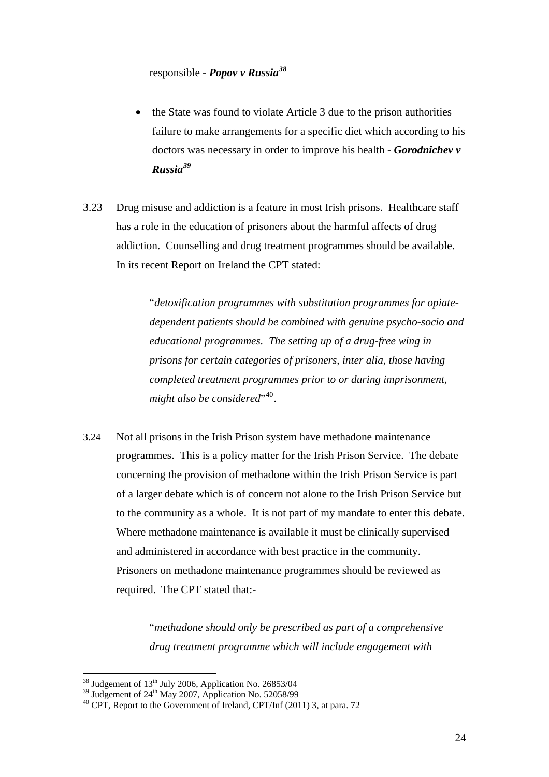responsible - *Popov v Russia[38](#page-23-0)*

- the State was found to violate Article 3 due to the prison authorities failure to make arrangements for a specific diet which according to his doctors was necessary in order to improve his health - *Gorodnichev v Russia[39](#page-23-1)*
- 3.23 Drug misuse and addiction is a feature in most Irish prisons. Healthcare staff has a role in the education of prisoners about the harmful affects of drug addiction. Counselling and drug treatment programmes should be available. In its recent Report on Ireland the CPT stated:

"*detoxification programmes with substitution programmes for opiatedependent patients should be combined with genuine psycho-socio and educational programmes. The setting up of a drug-free wing in prisons for certain categories of prisoners, inter alia, those having completed treatment programmes prior to or during imprisonment,*  might also be considered<sup>"[40](#page-23-2)</sup>.

3.24 Not all prisons in the Irish Prison system have methadone maintenance programmes. This is a policy matter for the Irish Prison Service. The debate concerning the provision of methadone within the Irish Prison Service is part of a larger debate which is of concern not alone to the Irish Prison Service but to the community as a whole. It is not part of my mandate to enter this debate. Where methadone maintenance is available it must be clinically supervised and administered in accordance with best practice in the community. Prisoners on methadone maintenance programmes should be reviewed as required. The CPT stated that:-

> "*methadone should only be prescribed as part of a comprehensive drug treatment programme which will include engagement with*

<span id="page-23-0"></span> $38$  Judgement of  $13<sup>th</sup>$  July 2006, Application No. 26853/04

<span id="page-23-2"></span><span id="page-23-1"></span> $30$  CPT, Report to the Government of Ireland, CPT/Inf (2011) 3, at para. 72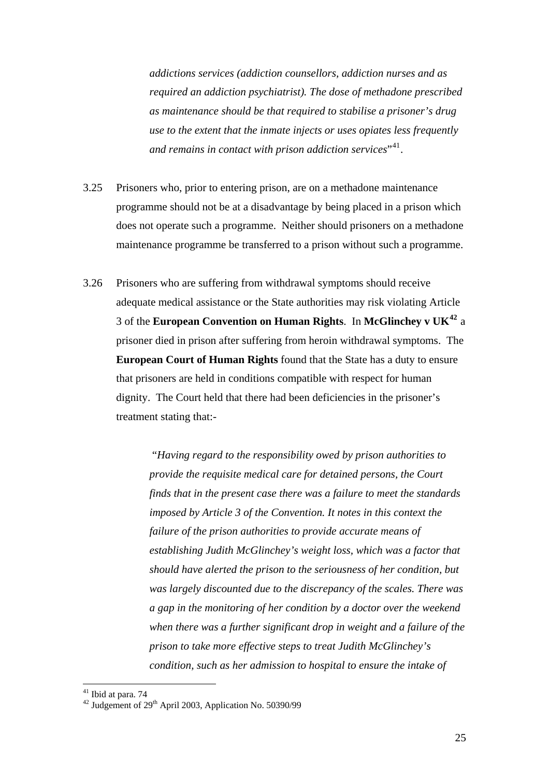*addictions services (addiction counsellors, addiction nurses and as required an addiction psychiatrist). The dose of methadone prescribed as maintenance should be that required to stabilise a prisoner's drug use to the extent that the inmate injects or uses opiates less frequently and remains in contact with prison addiction services*"[41](#page-24-0).

- 3.25 Prisoners who, prior to entering prison, are on a methadone maintenance programme should not be at a disadvantage by being placed in a prison which does not operate such a programme. Neither should prisoners on a methadone maintenance programme be transferred to a prison without such a programme.
- 3.26 Prisoners who are suffering from withdrawal symptoms should receive adequate medical assistance or the State authorities may risk violating Article 3 of the **European Convention on Human Rights**. In **McGlinchey v UK[42](#page-24-1)** a prisoner died in prison after suffering from heroin withdrawal symptoms. The **European Court of Human Rights** found that the State has a duty to ensure that prisoners are held in conditions compatible with respect for human dignity. The Court held that there had been deficiencies in the prisoner's treatment stating that:-

"*Having regard to the responsibility owed by prison authorities to provide the requisite medical care for detained persons, the Court finds that in the present case there was a failure to meet the standards imposed by Article 3 of the Convention. It notes in this context the failure of the prison authorities to provide accurate means of establishing Judith McGlinchey's weight loss, which was a factor that should have alerted the prison to the seriousness of her condition, but was largely discounted due to the discrepancy of the scales. There was a gap in the monitoring of her condition by a doctor over the weekend when there was a further significant drop in weight and a failure of the prison to take more effective steps to treat Judith McGlinchey's condition, such as her admission to hospital to ensure the intake of* 

<sup>&</sup>lt;sup>41</sup> Ibid at para. 74

<span id="page-24-1"></span><span id="page-24-0"></span> $42$  Judgement of 29<sup>th</sup> April 2003, Application No. 50390/99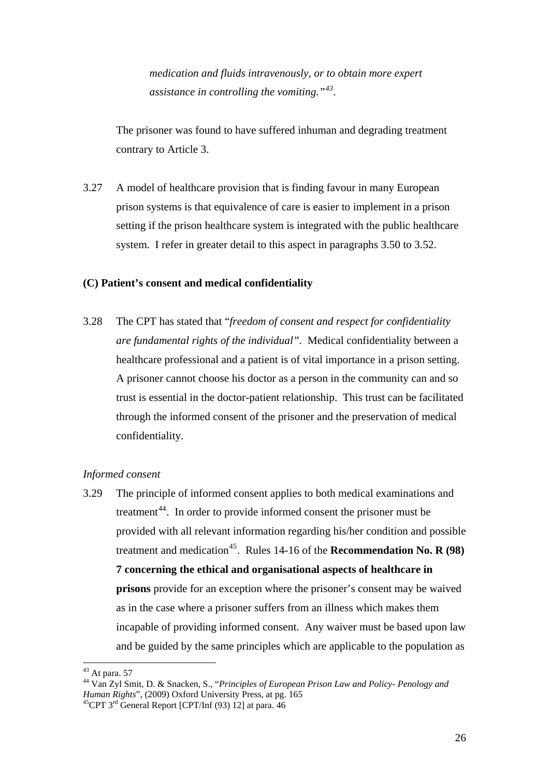*medication and fluids intravenously, or to obtain more expert assistance in controlling the vomiting."[43](#page-25-0).* 

The prisoner was found to have suffered inhuman and degrading treatment contrary to Article 3.

3.27 A model of healthcare provision that is finding favour in many European prison systems is that equivalence of care is easier to implement in a prison setting if the prison healthcare system is integrated with the public healthcare system. I refer in greater detail to this aspect in paragraphs 3.50 to 3.52.

#### **(C) Patient's consent and medical confidentiality**

3.28 The CPT has stated that "*freedom of consent and respect for confidentiality are fundamental rights of the individual"*. Medical confidentiality between a healthcare professional and a patient is of vital importance in a prison setting. A prisoner cannot choose his doctor as a person in the community can and so trust is essential in the doctor-patient relationship. This trust can be facilitated through the informed consent of the prisoner and the preservation of medical confidentiality.

#### *Informed consent*

3.29 The principle of informed consent applies to both medical examinations and treatment<sup>[44](#page-25-1)</sup>. In order to provide informed consent the prisoner must be provided with all relevant information regarding his/her condition and possible treatment and medication<sup>[45](#page-25-2)</sup>. Rules 14-16 of the **Recommendation No. R (98) 7 concerning the ethical and organisational aspects of healthcare in prisons** provide for an exception where the prisoner's consent may be waived as in the case where a prisoner suffers from an illness which makes them incapable of providing informed consent. Any waiver must be based upon law and be guided by the same principles which are applicable to the population as

<span id="page-25-0"></span> $43$  At para. 57

<span id="page-25-1"></span><sup>44</sup> Van Zyl Smit, D. & Snacken, S., "*Principles of European Prison Law and Policy- Penology and* 

<span id="page-25-2"></span><sup>&</sup>lt;sup>45</sup>CPT 3<sup>rd</sup> General Report [CPT/Inf (93) 12] at para. 46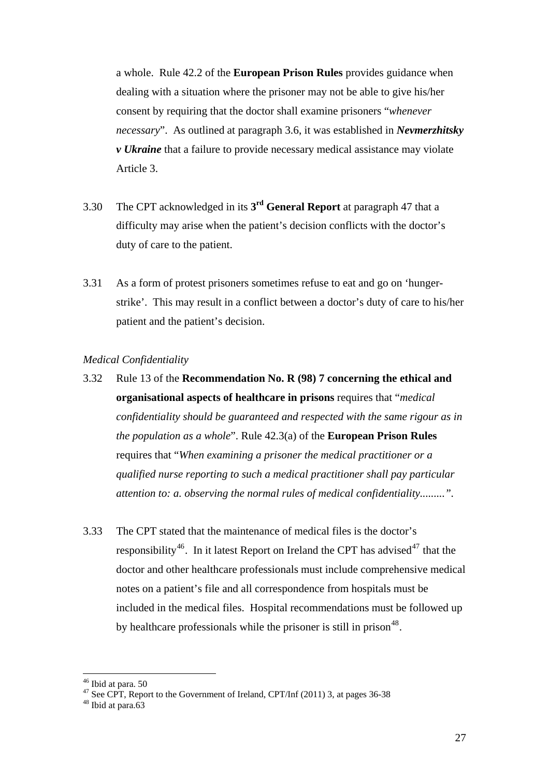a whole. Rule 42.2 of the **European Prison Rules** provides guidance when dealing with a situation where the prisoner may not be able to give his/her consent by requiring that the doctor shall examine prisoners "*whenever necessary*". As outlined at paragraph 3.6, it was established in *Nevmerzhitsky v Ukraine* that a failure to provide necessary medical assistance may violate Article 3.

- 3.30 The CPT acknowledged in its **3rd General Report** at paragraph 47 that a difficulty may arise when the patient's decision conflicts with the doctor's duty of care to the patient.
- 3.31 As a form of protest prisoners sometimes refuse to eat and go on 'hungerstrike'. This may result in a conflict between a doctor's duty of care to his/her patient and the patient's decision.

#### *Medical Confidentiality*

- 3.32 Rule 13 of the **Recommendation No. R (98) 7 concerning the ethical and organisational aspects of healthcare in prisons** requires that "*medical confidentiality should be guaranteed and respected with the same rigour as in the population as a whole*". Rule 42.3(a) of the **European Prison Rules** requires that "*When examining a prisoner the medical practitioner or a qualified nurse reporting to such a medical practitioner shall pay particular attention to: a. observing the normal rules of medical confidentiality.........".*
- 3.33 The CPT stated that the maintenance of medical files is the doctor's responsibility<sup>[46](#page-26-0)</sup>. In it latest Report on Ireland the CPT has advised<sup>[47](#page-26-1)</sup> that the doctor and other healthcare professionals must include comprehensive medical notes on a patient's file and all correspondence from hospitals must be included in the medical files. Hospital recommendations must be followed up by healthcare professionals while the prisoner is still in prison<sup>[48](#page-26-2)</sup>.

<sup>46</sup> Ibid at para. 50

<span id="page-26-1"></span><span id="page-26-0"></span><sup>&</sup>lt;sup>47</sup> See CPT, Report to the Government of Ireland, CPT/Inf  $(2011)$  3, at pages 36-38

<span id="page-26-2"></span> $48$  Ibid at para.63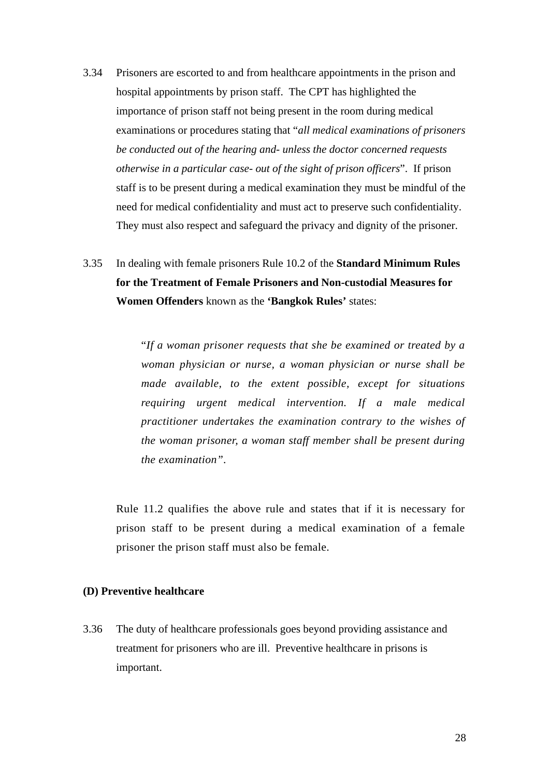3.34 Prisoners are escorted to and from healthcare appointments in the prison and hospital appointments by prison staff. The CPT has highlighted the importance of prison staff not being present in the room during medical examinations or procedures stating that "*all medical examinations of prisoners be conducted out of the hearing and- unless the doctor concerned requests otherwise in a particular case- out of the sight of prison officers*". If prison staff is to be present during a medical examination they must be mindful of the need for medical confidentiality and must act to preserve such confidentiality. They must also respect and safeguard the privacy and dignity of the prisoner.

## 3.35 In dealing with female prisoners Rule 10.2 of the **Standard Minimum Rules for the Treatment of Female Prisoners and Non-custodial Measures for Women Offenders** known as the **'Bangkok Rules'** states:

"*If a woman prisoner requests that she be examined or treated by a woman physician or nurse, a woman physician or nurse shall be made available, to the extent possible, except for situations requiring urgent medical intervention. If a male medical practitioner undertakes the examination contrary to the wishes of the woman prisoner, a woman staff member shall be present during the examination".* 

Rule 11.2 qualifies the above rule and states that if it is necessary for prison staff to be present during a medical examination of a female prisoner the prison staff must also be female.

#### **(D) Preventive healthcare**

3.36 The duty of healthcare professionals goes beyond providing assistance and treatment for prisoners who are ill. Preventive healthcare in prisons is important.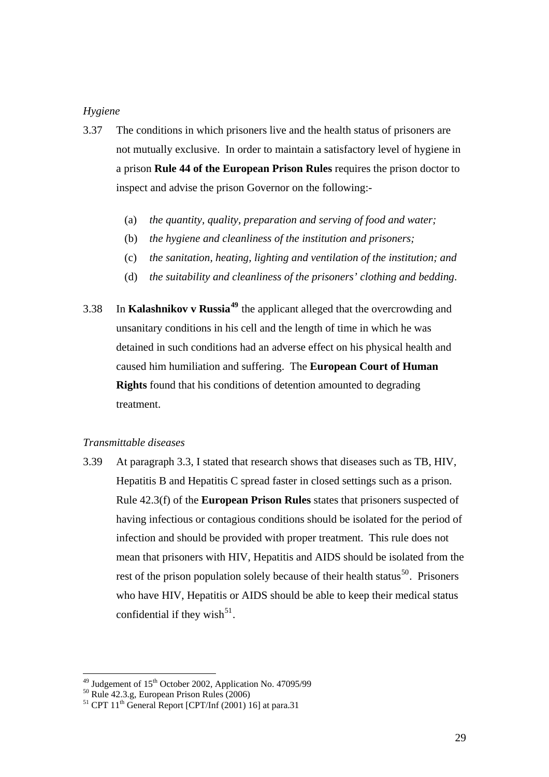#### *Hygiene*

- 3.37 The conditions in which prisoners live and the health status of prisoners are not mutually exclusive. In order to maintain a satisfactory level of hygiene in a prison **Rule 44 of the European Prison Rules** requires the prison doctor to inspect and advise the prison Governor on the following:-
	- (a) *the quantity, quality, preparation and serving of food and water;*
	- (b) *the hygiene and cleanliness of the institution and prisoners;*
	- (c) *the sanitation, heating, lighting and ventilation of the institution; and*
	- (d) *the suitability and cleanliness of the prisoners' clothing and bedding*.
- 3.38 In **Kalashnikov v Russia[49](#page-28-0)** the applicant alleged that the overcrowding and unsanitary conditions in his cell and the length of time in which he was detained in such conditions had an adverse effect on his physical health and caused him humiliation and suffering. The **European Court of Human Rights** found that his conditions of detention amounted to degrading treatment.

#### *Transmittable diseases*

3.39 At paragraph 3.3, I stated that research shows that diseases such as TB, HIV, Hepatitis B and Hepatitis C spread faster in closed settings such as a prison. Rule 42.3(f) of the **European Prison Rules** states that prisoners suspected of having infectious or contagious conditions should be isolated for the period of infection and should be provided with proper treatment. This rule does not mean that prisoners with HIV, Hepatitis and AIDS should be isolated from the rest of the prison population solely because of their health status $^{50}$  $^{50}$  $^{50}$ . Prisoners who have HIV, Hepatitis or AIDS should be able to keep their medical status confidential if they wish $^{51}$  $^{51}$  $^{51}$ .

<span id="page-28-0"></span><sup>&</sup>lt;sup>49</sup> Judgement of 15<sup>th</sup> October 2002, Application No. 47095/99<br><sup>50</sup> Rule 42.3.g, European Prison Rules (2006)<br><sup>51</sup> CPT 11<sup>th</sup> General Report [CPT/Inf (2001) 16] at para.31

<span id="page-28-1"></span>

<span id="page-28-2"></span>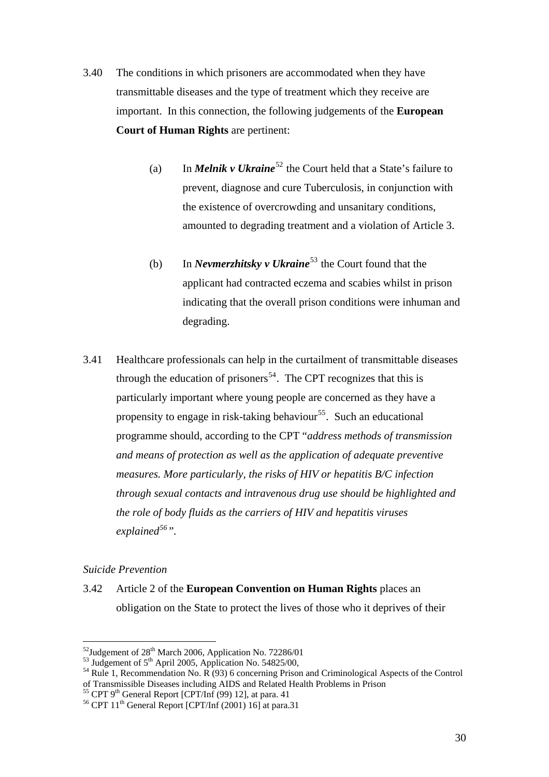- 3.40 The conditions in which prisoners are accommodated when they have transmittable diseases and the type of treatment which they receive are important. In this connection, the following judgements of the **European Court of Human Rights** are pertinent:
	- (a) In *Melnik v Ukraine*<sup>[52](#page-29-0)</sup> the Court held that a State's failure to prevent, diagnose and cure Tuberculosis, in conjunction with the existence of overcrowding and unsanitary conditions, amounted to degrading treatment and a violation of Article 3.
	- (b) In *Nevmerzhitsky v Ukraine*<sup>[53](#page-29-1)</sup> the Court found that the applicant had contracted eczema and scabies whilst in prison indicating that the overall prison conditions were inhuman and degrading.
- 3.41 Healthcare professionals can help in the curtailment of transmittable diseases through the education of prisoners<sup>[54](#page-29-2)</sup>. The CPT recognizes that this is particularly important where young people are concerned as they have a propensity to engage in risk-taking behaviour<sup>[55](#page-29-3)</sup>. Such an educational programme should, according to the CPT "*address methods of transmission and means of protection as well as the application of adequate preventive measures. More particularly, the risks of HIV or hepatitis B/C infection through sexual contacts and intravenous drug use should be highlighted and the role of body fluids as the carriers of HIV and hepatitis viruses explained[56](#page-29-4)".*

#### *Suicide Prevention*

 $\overline{a}$ 

3.42 Article 2 of the **European Convention on Human Rights** places an obligation on the State to protect the lives of those who it deprives of their

<span id="page-29-2"></span><span id="page-29-1"></span>

<span id="page-29-0"></span><sup>&</sup>lt;sup>52</sup>Judgement of 28<sup>th</sup> March 2006, Application No. 72286/01<br><sup>53</sup> Judgement of 5<sup>th</sup> April 2005, Application No. 54825/00,<br><sup>54</sup> Rule 1, Recommendation No. R (93) 6 concerning Prison and Criminological Aspects of the Contr of Transmissible Diseases including AIDS and Related Health Problems in Prison  $^{55}$  CPT 9<sup>th</sup> General Report [CPT/Inf (99) 12], at para. 41  $^{56}$  CPT 11<sup>th</sup> General Report [CPT/Inf (2001) 16] at para.31

<span id="page-29-3"></span>

<span id="page-29-4"></span>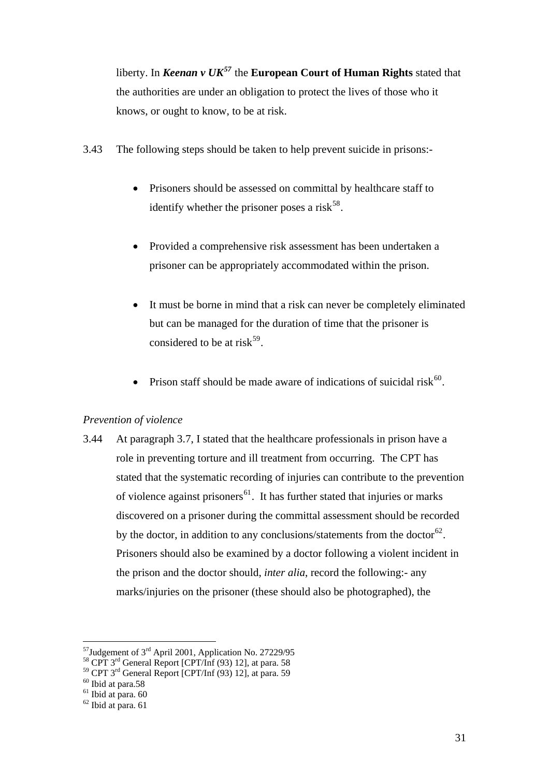liberty. In *Keenan v UK[57](#page-30-0)* the **European Court of Human Rights** stated that the authorities are under an obligation to protect the lives of those who it knows, or ought to know, to be at risk.

- 3.43 The following steps should be taken to help prevent suicide in prisons:-
	- Prisoners should be assessed on committal by healthcare staff to identify whether the prisoner poses a risk $^{58}$  $^{58}$  $^{58}$ .
	- Provided a comprehensive risk assessment has been undertaken a prisoner can be appropriately accommodated within the prison.
	- It must be borne in mind that a risk can never be completely eliminated but can be managed for the duration of time that the prisoner is considered to be at risk<sup>[59](#page-30-2)</sup>.
	- Prison staff should be made aware of indications of suicidal risk $^{60}$  $^{60}$  $^{60}$ .

#### *Prevention of violence*

3.44 At paragraph 3.7, I stated that the healthcare professionals in prison have a role in preventing torture and ill treatment from occurring. The CPT has stated that the systematic recording of injuries can contribute to the prevention of violence against prisoners<sup>[61](#page-30-4)</sup>. It has further stated that injuries or marks discovered on a prisoner during the committal assessment should be recorded by the doctor, in addition to any conclusions/statements from the doctor<sup>[62](#page-30-5)</sup>. Prisoners should also be examined by a doctor following a violent incident in the prison and the doctor should, *inter alia*, record the following:- any marks/injuries on the prisoner (these should also be photographed), the

 $\overline{a}$ 

<span id="page-30-0"></span><sup>&</sup>lt;sup>57</sup>Judgement of 3<sup>rd</sup> April 2001, Application No. 27229/95<br><sup>58</sup> CPT 3<sup>rd</sup> General Report [CPT/Inf (93) 12], at para. 58

<span id="page-30-2"></span><span id="page-30-1"></span><sup>&</sup>lt;sup>59</sup> CPT 3<sup>rd</sup> General Report [CPT/Inf (93) 12], at para. 59 <sup>60</sup> Ibid at para.58

<span id="page-30-4"></span><span id="page-30-3"></span> $61$  Ibid at para.  $60$ 

<span id="page-30-5"></span> $62$  Ibid at para. 61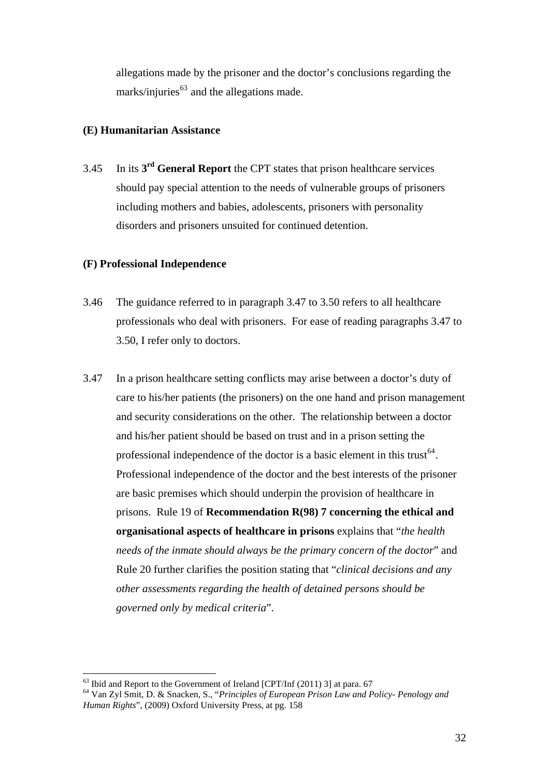allegations made by the prisoner and the doctor's conclusions regarding the marks/injuries $^{63}$  $^{63}$  $^{63}$  and the allegations made.

#### **(E) Humanitarian Assistance**

3.45 In its **3rd General Report** the CPT states that prison healthcare services should pay special attention to the needs of vulnerable groups of prisoners including mothers and babies, adolescents, prisoners with personality disorders and prisoners unsuited for continued detention.

#### **(F) Professional Independence**

- 3.46 The guidance referred to in paragraph 3.47 to 3.50 refers to all healthcare professionals who deal with prisoners. For ease of reading paragraphs 3.47 to 3.50, I refer only to doctors.
- 3.47 In a prison healthcare setting conflicts may arise between a doctor's duty of care to his/her patients (the prisoners) on the one hand and prison management and security considerations on the other. The relationship between a doctor and his/her patient should be based on trust and in a prison setting the professional independence of the doctor is a basic element in this trust<sup>[64](#page-31-1)</sup>. Professional independence of the doctor and the best interests of the prisoner are basic premises which should underpin the provision of healthcare in prisons. Rule 19 of **Recommendation R(98) 7 concerning the ethical and organisational aspects of healthcare in prisons** explains that "*the health needs of the inmate should always be the primary concern of the doctor*" and Rule 20 further clarifies the position stating that "*clinical decisions and any other assessments regarding the health of detained persons should be governed only by medical criteria*".

 $\overline{a}$  $63$  Ibid and Report to the Government of Ireland  $[CPT/Inf(2011)$  3] at para. 67

<span id="page-31-1"></span><span id="page-31-0"></span><sup>64</sup> Van Zyl Smit, D. & Snacken, S., "*Principles of European Prison Law and Policy- Penology and Human Rights*", (2009) Oxford University Press, at pg. 158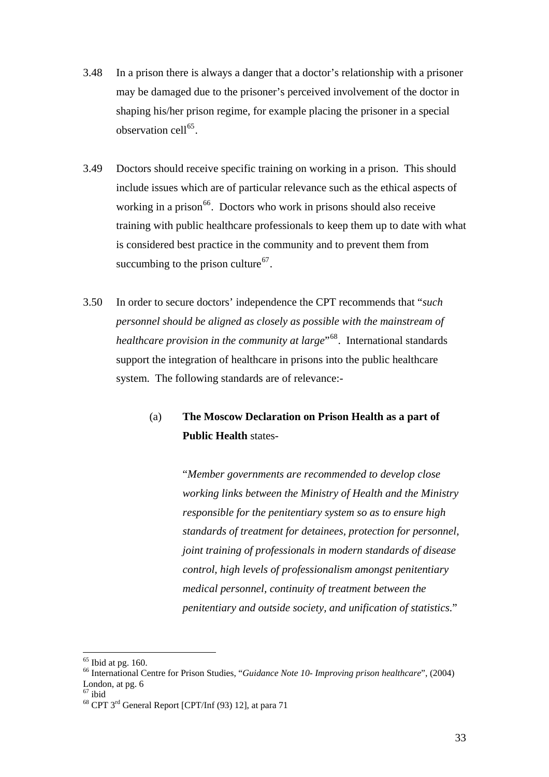- 3.48 In a prison there is always a danger that a doctor's relationship with a prisoner may be damaged due to the prisoner's perceived involvement of the doctor in shaping his/her prison regime, for example placing the prisoner in a special observation cell<sup>[65](#page-32-0)</sup>.
- 3.49 Doctors should receive specific training on working in a prison. This should include issues which are of particular relevance such as the ethical aspects of working in a prison $<sup>66</sup>$  $<sup>66</sup>$  $<sup>66</sup>$ . Doctors who work in prisons should also receive</sup> training with public healthcare professionals to keep them up to date with what is considered best practice in the community and to prevent them from succumbing to the prison culture<sup>[67](#page-32-2)</sup>.
- 3.50 In order to secure doctors' independence the CPT recommends that "*such personnel should be aligned as closely as possible with the mainstream of healthcare provision in the community at large*<sup>"[68](#page-32-3)</sup>. International standards support the integration of healthcare in prisons into the public healthcare system. The following standards are of relevance:-

## (a) **The Moscow Declaration on Prison Health as a part of Public Health** states-

"*Member governments are recommended to develop close working links between the Ministry of Health and the Ministry responsible for the penitentiary system so as to ensure high standards of treatment for detainees, protection for personnel, joint training of professionals in modern standards of disease control, high levels of professionalism amongst penitentiary medical personnel, continuity of treatment between the penitentiary and outside society, and unification of statistics.*"

<span id="page-32-0"></span> $65$  Ibid at pg. 160.

<span id="page-32-1"></span><sup>66</sup> International Centre for Prison Studies, "*Guidance Note 10- Improving prison healthcare*", (2004) London, at pg. 6

<span id="page-32-2"></span> $67$  ibid

<span id="page-32-3"></span><sup>68</sup> CPT 3rd General Report [CPT/Inf (93) 12], at para 71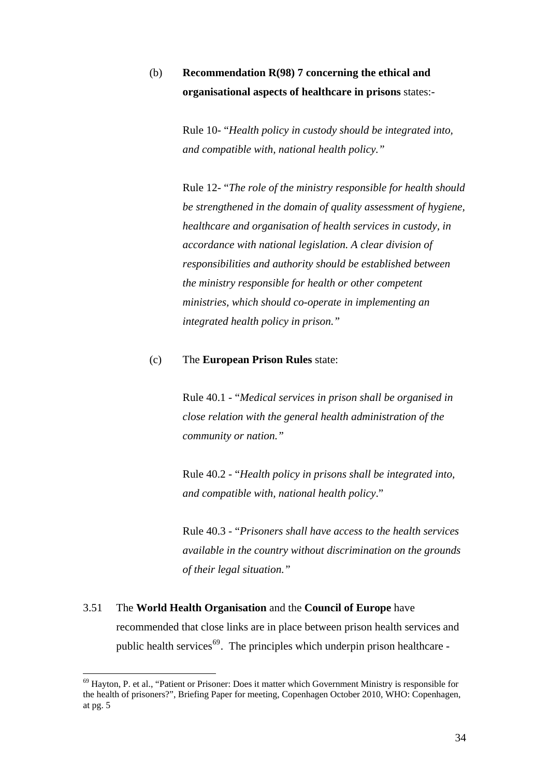## (b) **Recommendation R(98) 7 concerning the ethical and organisational aspects of healthcare in prisons** states:-

Rule 10- "*Health policy in custody should be integrated into, and compatible with, national health policy."*

Rule 12- "*The role of the ministry responsible for health should be strengthened in the domain of quality assessment of hygiene, healthcare and organisation of health services in custody, in accordance with national legislation. A clear division of responsibilities and authority should be established between the ministry responsible for health or other competent ministries, which should co-operate in implementing an integrated health policy in prison."* 

#### (c) The **European Prison Rules** state:

Rule 40.1 - "*Medical services in prison shall be organised in close relation with the general health administration of the community or nation."* 

Rule 40.2 - "*Health policy in prisons shall be integrated into, and compatible with, national health policy*."

Rule 40.3 - "*Prisoners shall have access to the health services available in the country without discrimination on the grounds of their legal situation."* 

## 3.51 The **World Health Organisation** and the **Council of Europe** have recommended that close links are in place between prison health services and public health services<sup>[69](#page-33-0)</sup>. The principles which underpin prison healthcare -

<span id="page-33-0"></span> $69$  Hayton, P. et al., "Patient or Prisoner: Does it matter which Government Ministry is responsible for the health of prisoners?", Briefing Paper for meeting, Copenhagen October 2010, WHO: Copenhagen, at pg. 5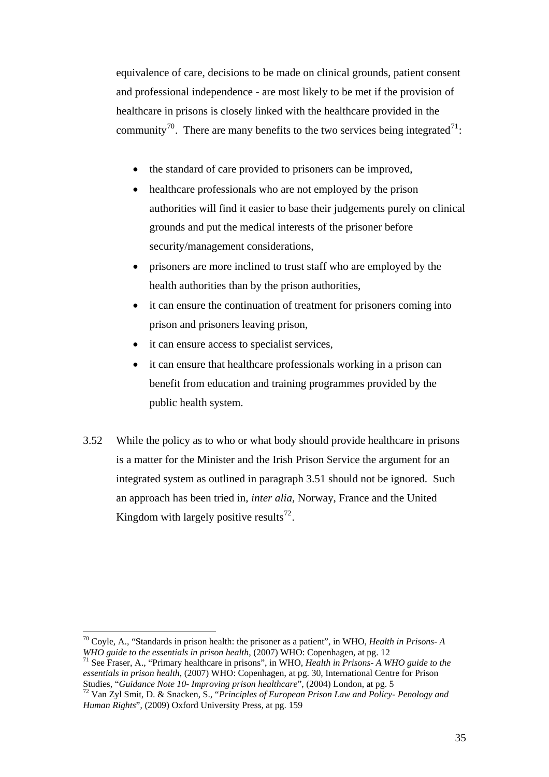equivalence of care, decisions to be made on clinical grounds, patient consent and professional independence - are most likely to be met if the provision of healthcare in prisons is closely linked with the healthcare provided in the community<sup>[70](#page-34-0)</sup>. There are many benefits to the two services being integrated<sup>[71](#page-34-1)</sup>:

- the standard of care provided to prisoners can be improved,
- healthcare professionals who are not employed by the prison authorities will find it easier to base their judgements purely on clinical grounds and put the medical interests of the prisoner before security/management considerations,
- prisoners are more inclined to trust staff who are employed by the health authorities than by the prison authorities,
- it can ensure the continuation of treatment for prisoners coming into prison and prisoners leaving prison,
- it can ensure access to specialist services,
- it can ensure that healthcare professionals working in a prison can benefit from education and training programmes provided by the public health system.
- 3.52 While the policy as to who or what body should provide healthcare in prisons is a matter for the Minister and the Irish Prison Service the argument for an integrated system as outlined in paragraph 3.51 should not be ignored. Such an approach has been tried in, *inter alia,* Norway, France and the United Kingdom with largely positive results<sup>[72](#page-34-2)</sup>.

<span id="page-34-0"></span> $70$  Coyle, A., "Standards in prison health: the prisoner as a patient", in WHO, *Health in Prisons-A WHO guide to the essentials in prison health*, (2007) WHO: Copenhagen, at pg. 12

<span id="page-34-1"></span><sup>&</sup>lt;sup>71</sup> See Fraser, A., "Primary healthcare in prisons", in WHO, *Health in Prisons- A WHO guide to the essentials in prison health*, (2007) WHO: Copenhagen, at pg. 30, International Centre for Prison Studies, "Guidance Note 10- Improving prison healthcare", (2004) London, at pg. 5

<span id="page-34-2"></span>Studies, "*Guidance Note 10- Improving prison healthcare*", (2004) London, at pg. 5 72 Van Zyl Smit, D. & Snacken, S., "*Principles of European Prison Law and Policy- Penology and Human Rights*", (2009) Oxford University Press, at pg. 159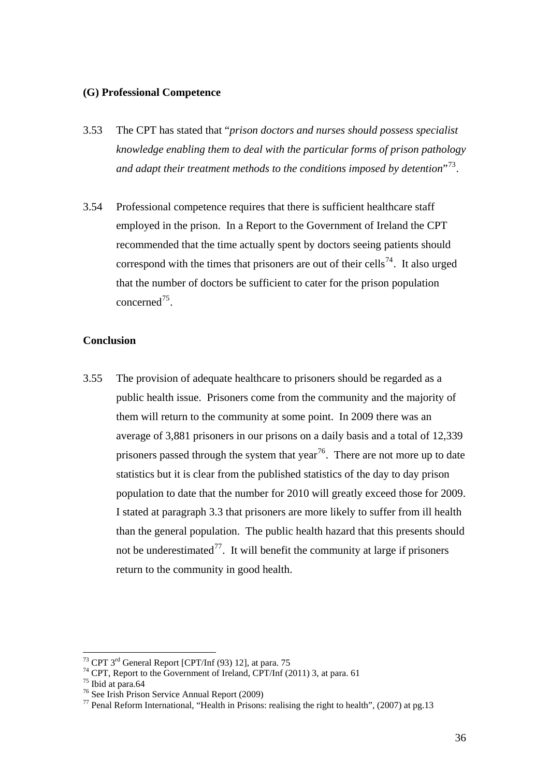#### **(G) Professional Competence**

- 3.53 The CPT has stated that "*prison doctors and nurses should possess specialist knowledge enabling them to deal with the particular forms of prison pathology and adapt their treatment methods to the conditions imposed by detention*"[73](#page-35-0).
- 3.54 Professional competence requires that there is sufficient healthcare staff employed in the prison. In a Report to the Government of Ireland the CPT recommended that the time actually spent by doctors seeing patients should correspond with the times that prisoners are out of their cells<sup>[74](#page-35-1)</sup>. It also urged that the number of doctors be sufficient to cater for the prison population concerned<sup>[75](#page-35-2)</sup>.

#### **Conclusion**

3.55 The provision of adequate healthcare to prisoners should be regarded as a public health issue. Prisoners come from the community and the majority of them will return to the community at some point. In 2009 there was an average of 3,881 prisoners in our prisons on a daily basis and a total of 12,339 prisoners passed through the system that year<sup>[76](#page-35-3)</sup>. There are not more up to date statistics but it is clear from the published statistics of the day to day prison population to date that the number for 2010 will greatly exceed those for 2009. I stated at paragraph 3.3 that prisoners are more likely to suffer from ill health than the general population. The public health hazard that this presents should not be underestimated<sup>[77](#page-35-4)</sup>. It will benefit the community at large if prisoners return to the community in good health.

<span id="page-35-0"></span><sup>&</sup>lt;sup>73</sup> CPT 3<sup>rd</sup> General Report [CPT/Inf (93) 12], at para. 75

 $74$  CPT, Report to the Government of Ireland, CPT/Inf (2011) 3, at para. 61

<span id="page-35-2"></span><span id="page-35-1"></span><sup>75</sup> Ibid at para.64

<span id="page-35-3"></span><sup>76</sup> See Irish Prison Service Annual Report (2009)

<span id="page-35-4"></span> $77$  Penal Reform International, "Health in Prisons: realising the right to health", (2007) at pg.13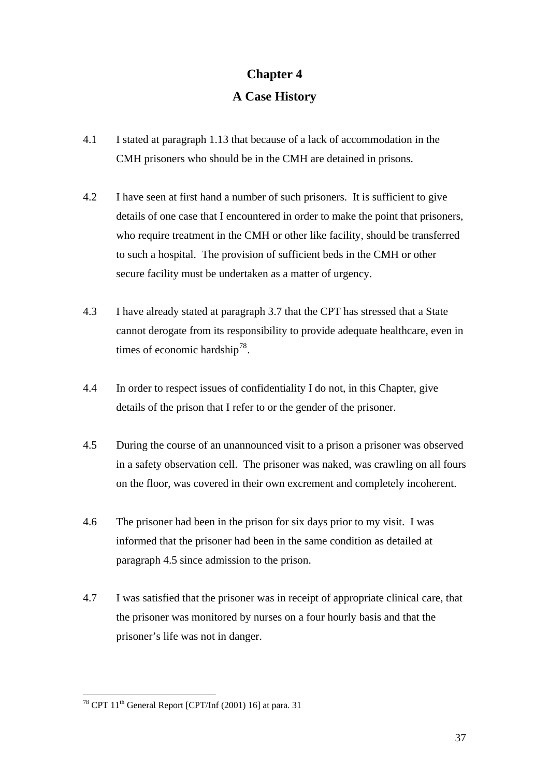# **Chapter 4 A Case History**

- 4.1 I stated at paragraph 1.13 that because of a lack of accommodation in the CMH prisoners who should be in the CMH are detained in prisons.
- 4.2 I have seen at first hand a number of such prisoners. It is sufficient to give details of one case that I encountered in order to make the point that prisoners, who require treatment in the CMH or other like facility, should be transferred to such a hospital. The provision of sufficient beds in the CMH or other secure facility must be undertaken as a matter of urgency.
- 4.3 I have already stated at paragraph 3.7 that the CPT has stressed that a State cannot derogate from its responsibility to provide adequate healthcare, even in times of economic hardship<sup>[78](#page-36-0)</sup>.
- 4.4 In order to respect issues of confidentiality I do not, in this Chapter, give details of the prison that I refer to or the gender of the prisoner.
- 4.5 During the course of an unannounced visit to a prison a prisoner was observed in a safety observation cell. The prisoner was naked, was crawling on all fours on the floor, was covered in their own excrement and completely incoherent.
- 4.6 The prisoner had been in the prison for six days prior to my visit. I was informed that the prisoner had been in the same condition as detailed at paragraph 4.5 since admission to the prison.
- 4.7 I was satisfied that the prisoner was in receipt of appropriate clinical care, that the prisoner was monitored by nurses on a four hourly basis and that the prisoner's life was not in danger.

<span id="page-36-0"></span> $^{78}$  CPT 11<sup>th</sup> General Report [CPT/Inf (2001) 16] at para. 31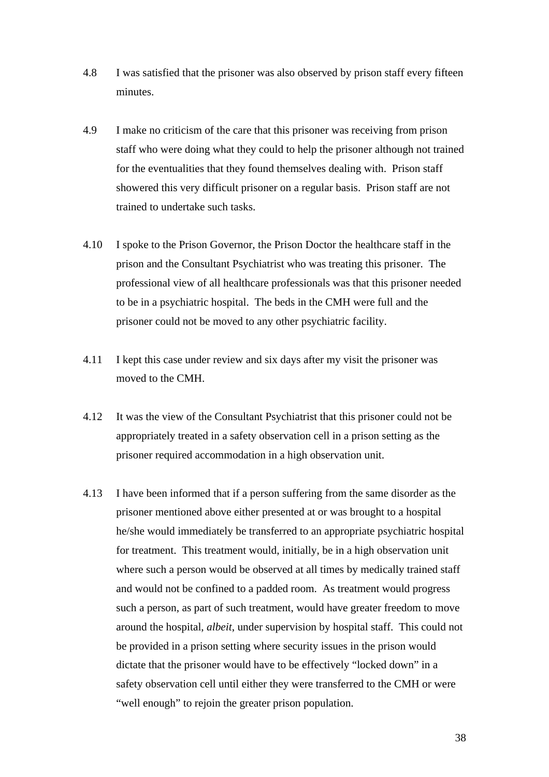- 4.8 I was satisfied that the prisoner was also observed by prison staff every fifteen minutes.
- 4.9 I make no criticism of the care that this prisoner was receiving from prison staff who were doing what they could to help the prisoner although not trained for the eventualities that they found themselves dealing with. Prison staff showered this very difficult prisoner on a regular basis. Prison staff are not trained to undertake such tasks.
- 4.10 I spoke to the Prison Governor, the Prison Doctor the healthcare staff in the prison and the Consultant Psychiatrist who was treating this prisoner. The professional view of all healthcare professionals was that this prisoner needed to be in a psychiatric hospital. The beds in the CMH were full and the prisoner could not be moved to any other psychiatric facility.
- 4.11 I kept this case under review and six days after my visit the prisoner was moved to the CMH.
- 4.12 It was the view of the Consultant Psychiatrist that this prisoner could not be appropriately treated in a safety observation cell in a prison setting as the prisoner required accommodation in a high observation unit.
- 4.13 I have been informed that if a person suffering from the same disorder as the prisoner mentioned above either presented at or was brought to a hospital he/she would immediately be transferred to an appropriate psychiatric hospital for treatment. This treatment would, initially, be in a high observation unit where such a person would be observed at all times by medically trained staff and would not be confined to a padded room. As treatment would progress such a person, as part of such treatment, would have greater freedom to move around the hospital, *albeit*, under supervision by hospital staff. This could not be provided in a prison setting where security issues in the prison would dictate that the prisoner would have to be effectively "locked down" in a safety observation cell until either they were transferred to the CMH or were "well enough" to rejoin the greater prison population.